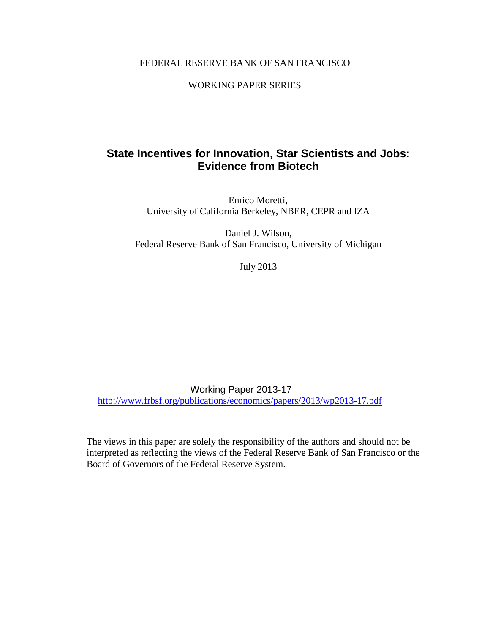### FEDERAL RESERVE BANK OF SAN FRANCISCO

### WORKING PAPER SERIES

## **State Incentives for Innovation, Star Scientists and Jobs: Evidence from Biotech**

Enrico Moretti, University of California Berkeley, NBER, CEPR and IZA

Daniel J. Wilson, Federal Reserve Bank of San Francisco, University of Michigan

July 2013

Working Paper 2013-17 <http://www.frbsf.org/publications/economics/papers/2013/wp2013-17.pdf>

The views in this paper are solely the responsibility of the authors and should not be interpreted as reflecting the views of the Federal Reserve Bank of San Francisco or the Board of Governors of the Federal Reserve System.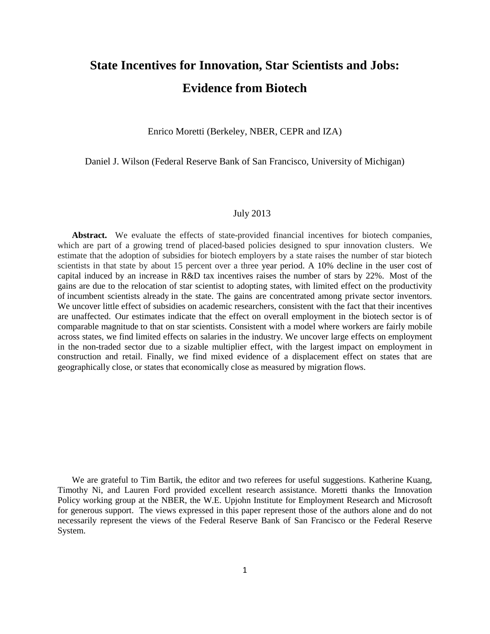# **State Incentives for Innovation, Star Scientists and Jobs: Evidence from Biotech**

Enrico Moretti (Berkeley, NBER, CEPR and IZA)

Daniel J. Wilson (Federal Reserve Bank of San Francisco, University of Michigan)

#### July 2013

**Abstract.** We evaluate the effects of state-provided financial incentives for biotech companies, which are part of a growing trend of placed-based policies designed to spur innovation clusters. We estimate that the adoption of subsidies for biotech employers by a state raises the number of star biotech scientists in that state by about 15 percent over a three year period. A 10% decline in the user cost of capital induced by an increase in R&D tax incentives raises the number of stars by 22%. Most of the gains are due to the relocation of star scientist to adopting states, with limited effect on the productivity of incumbent scientists already in the state. The gains are concentrated among private sector inventors. We uncover little effect of subsidies on academic researchers, consistent with the fact that their incentives are unaffected. Our estimates indicate that the effect on overall employment in the biotech sector is of comparable magnitude to that on star scientists. Consistent with a model where workers are fairly mobile across states, we find limited effects on salaries in the industry. We uncover large effects on employment in the non-traded sector due to a sizable multiplier effect, with the largest impact on employment in construction and retail. Finally, we find mixed evidence of a displacement effect on states that are geographically close, or states that economically close as measured by migration flows.

We are grateful to Tim Bartik, the editor and two referees for useful suggestions. Katherine Kuang, Timothy Ni, and Lauren Ford provided excellent research assistance. Moretti thanks the Innovation Policy working group at the NBER, the W.E. Upjohn Institute for Employment Research and Microsoft for generous support. The views expressed in this paper represent those of the authors alone and do not necessarily represent the views of the Federal Reserve Bank of San Francisco or the Federal Reserve System.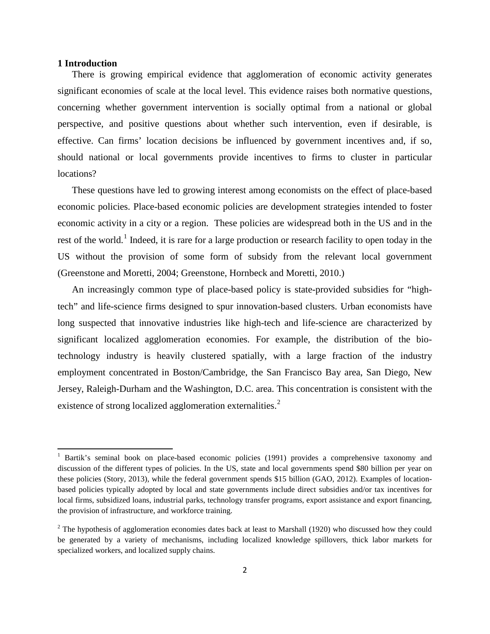#### **1 Introduction**

 $\overline{\phantom{a}}$ 

There is growing empirical evidence that agglomeration of economic activity generates significant economies of scale at the local level. This evidence raises both normative questions, concerning whether government intervention is socially optimal from a national or global perspective, and positive questions about whether such intervention, even if desirable, is effective. Can firms' location decisions be influenced by government incentives and, if so, should national or local governments provide incentives to firms to cluster in particular locations?

These questions have led to growing interest among economists on the effect of place-based economic policies. Place-based economic policies are development strategies intended to foster economic activity in a city or a region. These policies are widespread both in the US and in the rest of the world.<sup>[1](#page-2-0)</sup> Indeed, it is rare for a large production or research facility to open today in the US without the provision of some form of subsidy from the relevant local government (Greenstone and Moretti, 2004; Greenstone, Hornbeck and Moretti, 2010.)

An increasingly common type of place-based policy is state-provided subsidies for "hightech" and life-science firms designed to spur innovation-based clusters. Urban economists have long suspected that innovative industries like high-tech and life-science are characterized by significant localized agglomeration economies. For example, the distribution of the biotechnology industry is heavily clustered spatially, with a large fraction of the industry employment concentrated in Boston/Cambridge, the San Francisco Bay area, San Diego, New Jersey, Raleigh-Durham and the Washington, D.C. area. This concentration is consistent with the existence of strong localized agglomeration externalities.<sup>[2](#page-2-1)</sup>

<span id="page-2-0"></span><sup>&</sup>lt;sup>1</sup> Bartik's seminal book on place-based economic policies (1991) provides a comprehensive taxonomy and discussion of the different types of policies. In the US, state and local governments spend \$80 billion per year on these policies (Story, 2013), while the federal government spends \$15 billion (GAO, 2012). Examples of locationbased policies typically adopted by local and state governments include direct subsidies and/or tax incentives for local firms, subsidized loans, industrial parks, technology transfer programs, export assistance and export financing, the provision of infrastructure, and workforce training.

<span id="page-2-1"></span> $2$  The hypothesis of agglomeration economies dates back at least to Marshall (1920) who discussed how they could be generated by a variety of mechanisms, including localized knowledge spillovers, thick labor markets for specialized workers, and localized supply chains.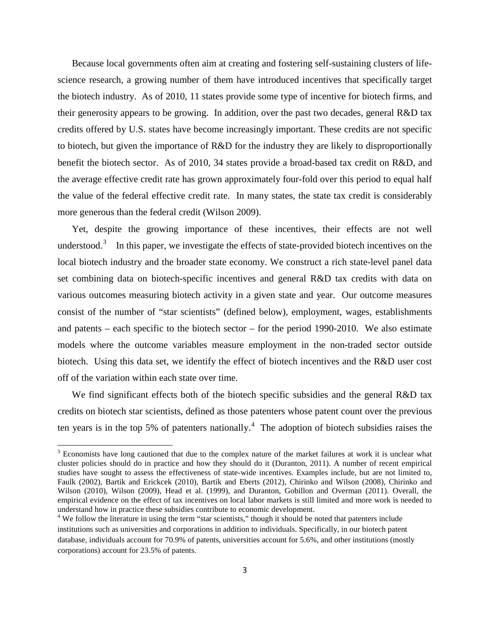Because local governments often aim at creating and fostering self-sustaining clusters of lifescience research, a growing number of them have introduced incentives that specifically target the biotech industry. As of 2010, 11 states provide some type of incentive for biotech firms, and their generosity appears to be growing. In addition, over the past two decades, general R&D tax credits offered by U.S. states have become increasingly important. These credits are not specific to biotech, but given the importance of R&D for the industry they are likely to disproportionally benefit the biotech sector. As of 2010, 34 states provide a broad-based tax credit on R&D, and the average effective credit rate has grown approximately four-fold over this period to equal half the value of the federal effective credit rate. In many states, the state tax credit is considerably more generous than the federal credit (Wilson 2009).

Yet, despite the growing importance of these incentives, their effects are not well understood. $3$  In this paper, we investigate the effects of state-provided biotech incentives on the local biotech industry and the broader state economy. We construct a rich state-level panel data set combining data on biotech-specific incentives and general R&D tax credits with data on various outcomes measuring biotech activity in a given state and year. Our outcome measures consist of the number of "star scientists" (defined below), employment, wages, establishments and patents – each specific to the biotech sector – for the period 1990-2010. We also estimate models where the outcome variables measure employment in the non-traded sector outside biotech. Using this data set, we identify the effect of biotech incentives and the R&D user cost off of the variation within each state over time.

We find significant effects both of the biotech specific subsidies and the general R&D tax credits on biotech star scientists, defined as those patenters whose patent count over the previous ten years is in the top 5% of patenters nationally.<sup>[4](#page-3-1)</sup> The adoption of biotech subsidies raises the

<span id="page-3-0"></span><sup>&</sup>lt;sup>3</sup> Economists have long cautioned that due to the complex nature of the market failures at work it is unclear what cluster policies should do in practice and how they should do it (Duranton, 2011). A number of recent empirical studies have sought to assess the effectiveness of state-wide incentives. Examples include, but are not limited to, Faulk (2002), Bartik and Erickcek (2010), Bartik and Eberts (2012), Chirinko and Wilson (2008), Chirinko and Wilson (2010), Wilson (2009), Head et al. (1999), and Duranton, Gobillon and Overman (2011). Overall, the empirical evidence on the effect of tax incentives on local labor markets is still limited and more work is needed to understand how in practice these subsidies contribute to economic development. <sup>4</sup> We follow the literature in using the term "star scientists," though it should be noted that patenters include

<span id="page-3-1"></span>institutions such as universities and corporations in addition to individuals. Specifically, in our biotech patent database, individuals account for 70.9% of patents, universities account for 5.6%, and other institutions (mostly corporations) account for 23.5% of patents.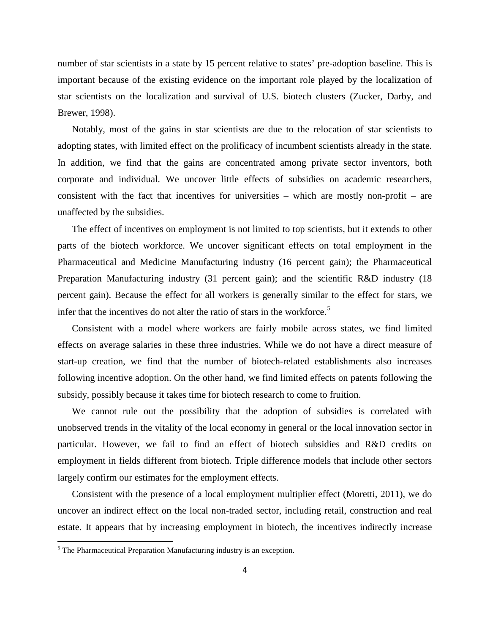number of star scientists in a state by 15 percent relative to states' pre-adoption baseline. This is important because of the existing evidence on the important role played by the localization of star scientists on the localization and survival of U.S. biotech clusters (Zucker, Darby, and Brewer, 1998).

Notably, most of the gains in star scientists are due to the relocation of star scientists to adopting states, with limited effect on the prolificacy of incumbent scientists already in the state. In addition, we find that the gains are concentrated among private sector inventors, both corporate and individual. We uncover little effects of subsidies on academic researchers, consistent with the fact that incentives for universities – which are mostly non-profit – are unaffected by the subsidies.

The effect of incentives on employment is not limited to top scientists, but it extends to other parts of the biotech workforce. We uncover significant effects on total employment in the Pharmaceutical and Medicine Manufacturing industry (16 percent gain); the Pharmaceutical Preparation Manufacturing industry (31 percent gain); and the scientific R&D industry (18 percent gain). Because the effect for all workers is generally similar to the effect for stars, we infer that the incentives do not alter the ratio of stars in the workforce.<sup>[5](#page-4-0)</sup>

Consistent with a model where workers are fairly mobile across states, we find limited effects on average salaries in these three industries. While we do not have a direct measure of start-up creation, we find that the number of biotech-related establishments also increases following incentive adoption. On the other hand, we find limited effects on patents following the subsidy, possibly because it takes time for biotech research to come to fruition.

We cannot rule out the possibility that the adoption of subsidies is correlated with unobserved trends in the vitality of the local economy in general or the local innovation sector in particular. However, we fail to find an effect of biotech subsidies and R&D credits on employment in fields different from biotech. Triple difference models that include other sectors largely confirm our estimates for the employment effects.

Consistent with the presence of a local employment multiplier effect (Moretti, 2011), we do uncover an indirect effect on the local non-traded sector, including retail, construction and real estate. It appears that by increasing employment in biotech, the incentives indirectly increase

<span id="page-4-0"></span><sup>&</sup>lt;sup>5</sup> The Pharmaceutical Preparation Manufacturing industry is an exception.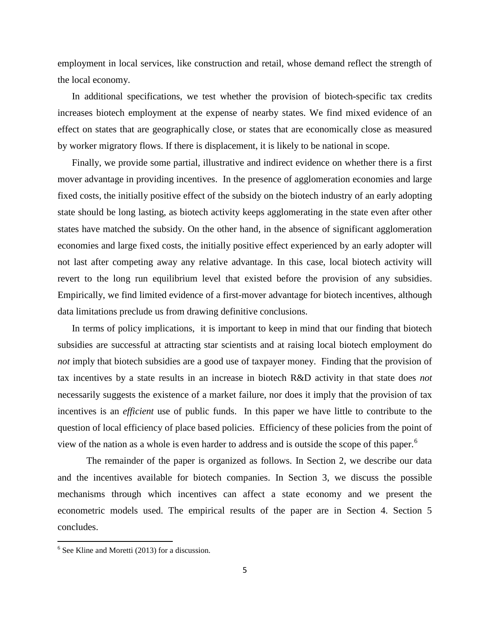employment in local services, like construction and retail, whose demand reflect the strength of the local economy.

In additional specifications, we test whether the provision of biotech-specific tax credits increases biotech employment at the expense of nearby states. We find mixed evidence of an effect on states that are geographically close, or states that are economically close as measured by worker migratory flows. If there is displacement, it is likely to be national in scope.

Finally, we provide some partial, illustrative and indirect evidence on whether there is a first mover advantage in providing incentives. In the presence of agglomeration economies and large fixed costs, the initially positive effect of the subsidy on the biotech industry of an early adopting state should be long lasting, as biotech activity keeps agglomerating in the state even after other states have matched the subsidy. On the other hand, in the absence of significant agglomeration economies and large fixed costs, the initially positive effect experienced by an early adopter will not last after competing away any relative advantage. In this case, local biotech activity will revert to the long run equilibrium level that existed before the provision of any subsidies. Empirically, we find limited evidence of a first-mover advantage for biotech incentives, although data limitations preclude us from drawing definitive conclusions.

In terms of policy implications, it is important to keep in mind that our finding that biotech subsidies are successful at attracting star scientists and at raising local biotech employment do *not* imply that biotech subsidies are a good use of taxpayer money. Finding that the provision of tax incentives by a state results in an increase in biotech R&D activity in that state does *not* necessarily suggests the existence of a market failure, nor does it imply that the provision of tax incentives is an *efficient* use of public funds. In this paper we have little to contribute to the question of local efficiency of place based policies. Efficiency of these policies from the point of view of the nation as a whole is even harder to address and is outside the scope of this paper.[6](#page-5-0)

The remainder of the paper is organized as follows. In Section 2, we describe our data and the incentives available for biotech companies. In Section 3, we discuss the possible mechanisms through which incentives can affect a state economy and we present the econometric models used. The empirical results of the paper are in Section 4. Section 5 concludes.

<span id="page-5-0"></span> $<sup>6</sup>$  See Kline and Moretti (2013) for a discussion.</sup>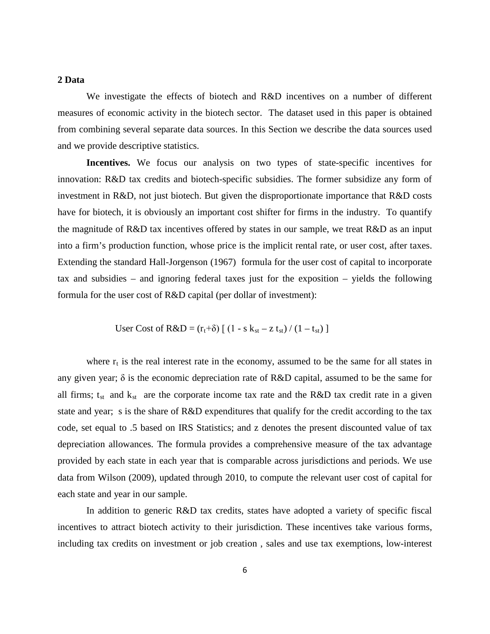#### **2 Data**

We investigate the effects of biotech and R&D incentives on a number of different measures of economic activity in the biotech sector. The dataset used in this paper is obtained from combining several separate data sources. In this Section we describe the data sources used and we provide descriptive statistics.

Incentives. We focus our analysis on two types of state-specific incentives for innovation: R&D tax credits and biotech-specific subsidies. The former subsidize any form of investment in R&D, not just biotech. But given the disproportionate importance that R&D costs have for biotech, it is obviously an important cost shifter for firms in the industry. To quantify the magnitude of R&D tax incentives offered by states in our sample, we treat R&D as an input into a firm's production function, whose price is the implicit rental rate, or user cost, after taxes. Extending the standard Hall-Jorgenson (1967) formula for the user cost of capital to incorporate tax and subsidies – and ignoring federal taxes just for the exposition – yields the following formula for the user cost of R&D capital (per dollar of investment):

User Cost of 
$$
R&D = (r_t + \delta) [ (1 - s k_{st} - z t_{st}) / (1 - t_{st}) ]
$$

where  $r_t$  is the real interest rate in the economy, assumed to be the same for all states in any given year;  $\delta$  is the economic depreciation rate of R&D capital, assumed to be the same for all firms;  $t_{st}$  and  $k_{st}$  are the corporate income tax rate and the R&D tax credit rate in a given state and year; s is the share of R&D expenditures that qualify for the credit according to the tax code, set equal to .5 based on IRS Statistics; and z denotes the present discounted value of tax depreciation allowances. The formula provides a comprehensive measure of the tax advantage provided by each state in each year that is comparable across jurisdictions and periods. We use data from Wilson (2009), updated through 2010, to compute the relevant user cost of capital for each state and year in our sample.

In addition to generic R&D tax credits, states have adopted a variety of specific fiscal incentives to attract biotech activity to their jurisdiction. These incentives take various forms, including tax credits on investment or job creation , sales and use tax exemptions, low-interest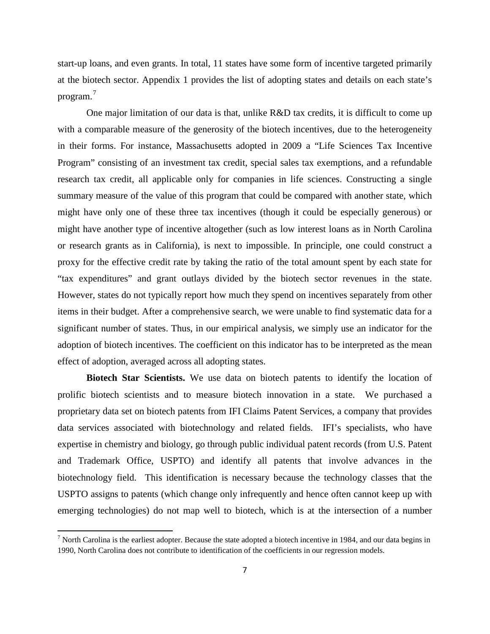start-up loans, and even grants. In total, 11 states have some form of incentive targeted primarily at the biotech sector. Appendix 1 provides the list of adopting states and details on each state's program.[7](#page-7-0)

One major limitation of our data is that, unlike R&D tax credits, it is difficult to come up with a comparable measure of the generosity of the biotech incentives, due to the heterogeneity in their forms. For instance, Massachusetts adopted in 2009 a "Life Sciences Tax Incentive Program" consisting of an investment tax credit, special sales tax exemptions, and a refundable research tax credit, all applicable only for companies in life sciences. Constructing a single summary measure of the value of this program that could be compared with another state, which might have only one of these three tax incentives (though it could be especially generous) or might have another type of incentive altogether (such as low interest loans as in North Carolina or research grants as in California), is next to impossible. In principle, one could construct a proxy for the effective credit rate by taking the ratio of the total amount spent by each state for "tax expenditures" and grant outlays divided by the biotech sector revenues in the state. However, states do not typically report how much they spend on incentives separately from other items in their budget. After a comprehensive search, we were unable to find systematic data for a significant number of states. Thus, in our empirical analysis, we simply use an indicator for the adoption of biotech incentives. The coefficient on this indicator has to be interpreted as the mean effect of adoption, averaged across all adopting states.

**Biotech Star Scientists.** We use data on biotech patents to identify the location of prolific biotech scientists and to measure biotech innovation in a state. We purchased a proprietary data set on biotech patents from IFI Claims Patent Services, a company that provides data services associated with biotechnology and related fields. IFI's specialists, who have expertise in chemistry and biology, go through public individual patent records (from U.S. Patent and Trademark Office, USPTO) and identify all patents that involve advances in the biotechnology field. This identification is necessary because the technology classes that the USPTO assigns to patents (which change only infrequently and hence often cannot keep up with emerging technologies) do not map well to biotech, which is at the intersection of a number

 $\overline{\phantom{a}}$ 

<span id="page-7-0"></span> $<sup>7</sup>$  North Carolina is the earliest adopter. Because the state adopted a biotech incentive in 1984, and our data begins in</sup> 1990, North Carolina does not contribute to identification of the coefficients in our regression models.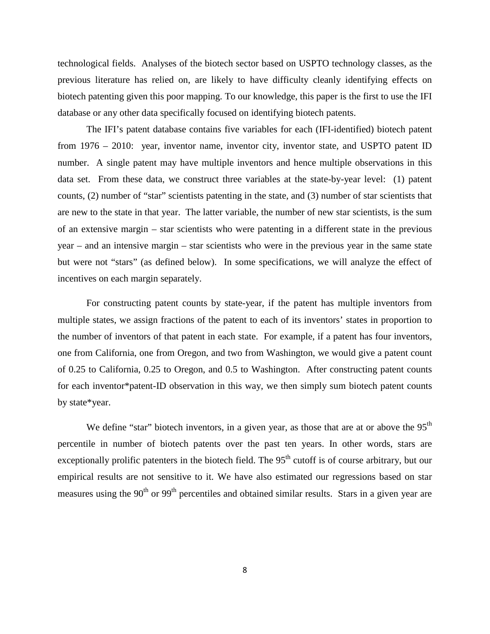technological fields. Analyses of the biotech sector based on USPTO technology classes, as the previous literature has relied on, are likely to have difficulty cleanly identifying effects on biotech patenting given this poor mapping. To our knowledge, this paper is the first to use the IFI database or any other data specifically focused on identifying biotech patents.

The IFI's patent database contains five variables for each (IFI-identified) biotech patent from 1976 – 2010: year, inventor name, inventor city, inventor state, and USPTO patent ID number. A single patent may have multiple inventors and hence multiple observations in this data set. From these data, we construct three variables at the state-by-year level: (1) patent counts, (2) number of "star" scientists patenting in the state, and (3) number of star scientists that are new to the state in that year. The latter variable, the number of new star scientists, is the sum of an extensive margin – star scientists who were patenting in a different state in the previous year – and an intensive margin – star scientists who were in the previous year in the same state but were not "stars" (as defined below). In some specifications, we will analyze the effect of incentives on each margin separately.

For constructing patent counts by state-year, if the patent has multiple inventors from multiple states, we assign fractions of the patent to each of its inventors' states in proportion to the number of inventors of that patent in each state. For example, if a patent has four inventors, one from California, one from Oregon, and two from Washington, we would give a patent count of 0.25 to California, 0.25 to Oregon, and 0.5 to Washington. After constructing patent counts for each inventor\*patent-ID observation in this way, we then simply sum biotech patent counts by state\*year.

We define "star" biotech inventors, in a given year, as those that are at or above the  $95<sup>th</sup>$ percentile in number of biotech patents over the past ten years. In other words, stars are exceptionally prolific patenters in the biotech field. The  $95<sup>th</sup>$  cutoff is of course arbitrary, but our empirical results are not sensitive to it. We have also estimated our regressions based on star measures using the  $90<sup>th</sup>$  or  $99<sup>th</sup>$  percentiles and obtained similar results. Stars in a given year are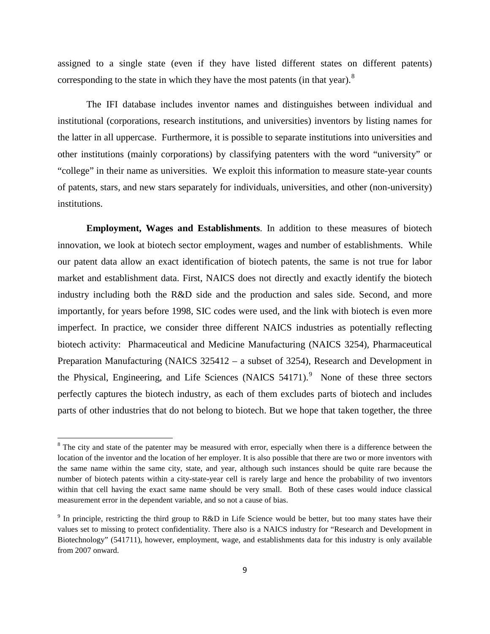assigned to a single state (even if they have listed different states on different patents) corresponding to the state in which they have the most patents (in that year).  $8$ 

The IFI database includes inventor names and distinguishes between individual and institutional (corporations, research institutions, and universities) inventors by listing names for the latter in all uppercase. Furthermore, it is possible to separate institutions into universities and other institutions (mainly corporations) by classifying patenters with the word "university" or "college" in their name as universities. We exploit this information to measure state-year counts of patents, stars, and new stars separately for individuals, universities, and other (non-university) institutions.

**Employment, Wages and Establishments**. In addition to these measures of biotech innovation, we look at biotech sector employment, wages and number of establishments. While our patent data allow an exact identification of biotech patents, the same is not true for labor market and establishment data. First, NAICS does not directly and exactly identify the biotech industry including both the R&D side and the production and sales side. Second, and more importantly, for years before 1998, SIC codes were used, and the link with biotech is even more imperfect. In practice, we consider three different NAICS industries as potentially reflecting biotech activity: Pharmaceutical and Medicine Manufacturing (NAICS 3254), Pharmaceutical Preparation Manufacturing (NAICS 325412 – a subset of 3254), Research and Development in the Physical, Engineering, and Life Sciences (NAICS  $54171$ ).<sup>[9](#page-9-1)</sup> None of these three sectors perfectly captures the biotech industry, as each of them excludes parts of biotech and includes parts of other industries that do not belong to biotech. But we hope that taken together, the three

l

<span id="page-9-0"></span> $8$  The city and state of the patenter may be measured with error, especially when there is a difference between the location of the inventor and the location of her employer. It is also possible that there are two or more inventors with the same name within the same city, state, and year, although such instances should be quite rare because the number of biotech patents within a city-state-year cell is rarely large and hence the probability of two inventors within that cell having the exact same name should be very small. Both of these cases would induce classical measurement error in the dependent variable, and so not a cause of bias.

<span id="page-9-1"></span> $9$  In principle, restricting the third group to R&D in Life Science would be better, but too many states have their values set to missing to protect confidentiality. There also is a NAICS industry for "Research and Development in Biotechnology" (541711), however, employment, wage, and establishments data for this industry is only available from 2007 onward.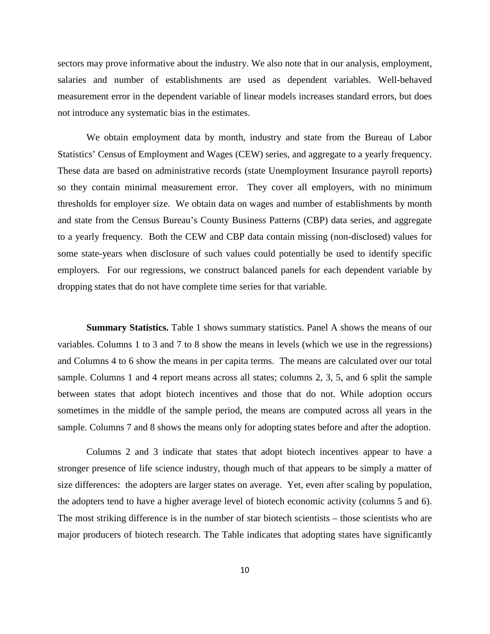sectors may prove informative about the industry. We also note that in our analysis, employment, salaries and number of establishments are used as dependent variables. Well-behaved measurement error in the dependent variable of linear models increases standard errors, but does not introduce any systematic bias in the estimates.

We obtain employment data by month, industry and state from the Bureau of Labor Statistics' Census of Employment and Wages (CEW) series, and aggregate to a yearly frequency. These data are based on administrative records (state Unemployment Insurance payroll reports) so they contain minimal measurement error. They cover all employers, with no minimum thresholds for employer size. We obtain data on wages and number of establishments by month and state from the Census Bureau's County Business Patterns (CBP) data series, and aggregate to a yearly frequency. Both the CEW and CBP data contain missing (non-disclosed) values for some state-years when disclosure of such values could potentially be used to identify specific employers. For our regressions, we construct balanced panels for each dependent variable by dropping states that do not have complete time series for that variable.

**Summary Statistics.** Table 1 shows summary statistics. Panel A shows the means of our variables. Columns 1 to 3 and 7 to 8 show the means in levels (which we use in the regressions) and Columns 4 to 6 show the means in per capita terms. The means are calculated over our total sample. Columns 1 and 4 report means across all states; columns 2, 3, 5, and 6 split the sample between states that adopt biotech incentives and those that do not. While adoption occurs sometimes in the middle of the sample period, the means are computed across all years in the sample. Columns 7 and 8 shows the means only for adopting states before and after the adoption.

Columns 2 and 3 indicate that states that adopt biotech incentives appear to have a stronger presence of life science industry, though much of that appears to be simply a matter of size differences: the adopters are larger states on average. Yet, even after scaling by population, the adopters tend to have a higher average level of biotech economic activity (columns 5 and 6). The most striking difference is in the number of star biotech scientists – those scientists who are major producers of biotech research. The Table indicates that adopting states have significantly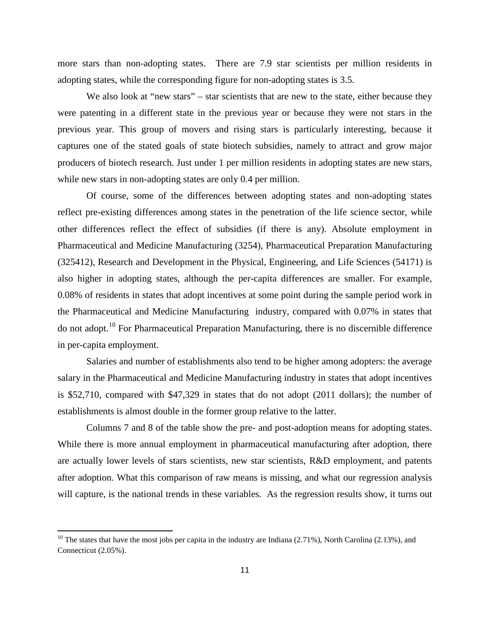more stars than non-adopting states. There are 7.9 star scientists per million residents in adopting states, while the corresponding figure for non-adopting states is 3.5.

We also look at "new stars" – star scientists that are new to the state, either because they were patenting in a different state in the previous year or because they were not stars in the previous year. This group of movers and rising stars is particularly interesting, because it captures one of the stated goals of state biotech subsidies, namely to attract and grow major producers of biotech research. Just under 1 per million residents in adopting states are new stars, while new stars in non-adopting states are only 0.4 per million.

Of course, some of the differences between adopting states and non-adopting states reflect pre-existing differences among states in the penetration of the life science sector, while other differences reflect the effect of subsidies (if there is any). Absolute employment in Pharmaceutical and Medicine Manufacturing (3254), Pharmaceutical Preparation Manufacturing (325412), Research and Development in the Physical, Engineering, and Life Sciences (54171) is also higher in adopting states, although the per-capita differences are smaller. For example, 0.08% of residents in states that adopt incentives at some point during the sample period work in the Pharmaceutical and Medicine Manufacturing industry, compared with 0.07% in states that do not adopt.[10](#page-11-0) For Pharmaceutical Preparation Manufacturing, there is no discernible difference in per-capita employment.

Salaries and number of establishments also tend to be higher among adopters: the average salary in the Pharmaceutical and Medicine Manufacturing industry in states that adopt incentives is \$52,710, compared with \$47,329 in states that do not adopt (2011 dollars); the number of establishments is almost double in the former group relative to the latter.

Columns 7 and 8 of the table show the pre- and post-adoption means for adopting states. While there is more annual employment in pharmaceutical manufacturing after adoption, there are actually lower levels of stars scientists, new star scientists, R&D employment, and patents after adoption. What this comparison of raw means is missing, and what our regression analysis will capture, is the national trends in these variables. As the regression results show, it turns out

 $\overline{\phantom{a}}$ 

<span id="page-11-0"></span><sup>&</sup>lt;sup>10</sup> The states that have the most jobs per capita in the industry are Indiana  $(2.71\%)$ , North Carolina  $(2.13\%)$ , and Connecticut (2.05%).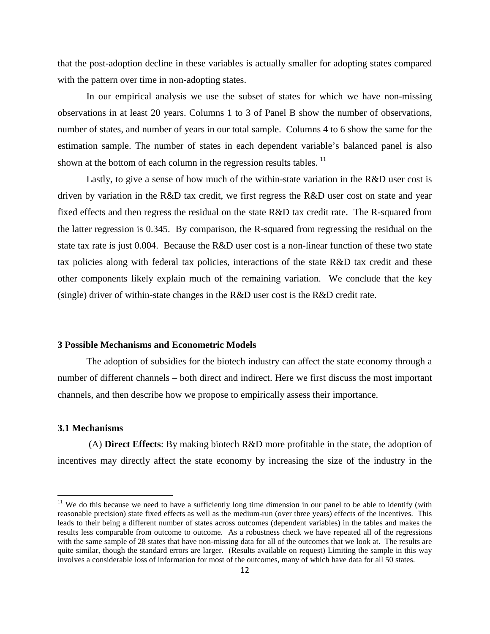that the post-adoption decline in these variables is actually smaller for adopting states compared with the pattern over time in non-adopting states.

In our empirical analysis we use the subset of states for which we have non-missing observations in at least 20 years. Columns 1 to 3 of Panel B show the number of observations, number of states, and number of years in our total sample. Columns 4 to 6 show the same for the estimation sample. The number of states in each dependent variable's balanced panel is also shown at the bottom of each column in the regression results tables.  $<sup>11</sup>$  $<sup>11</sup>$  $<sup>11</sup>$ </sup>

Lastly, to give a sense of how much of the within-state variation in the R&D user cost is driven by variation in the R&D tax credit, we first regress the R&D user cost on state and year fixed effects and then regress the residual on the state R&D tax credit rate. The R-squared from the latter regression is 0.345. By comparison, the R-squared from regressing the residual on the state tax rate is just 0.004. Because the R&D user cost is a non-linear function of these two state tax policies along with federal tax policies, interactions of the state R&D tax credit and these other components likely explain much of the remaining variation. We conclude that the key (single) driver of within-state changes in the R&D user cost is the R&D credit rate.

### **3 Possible Mechanisms and Econometric Models**

The adoption of subsidies for the biotech industry can affect the state economy through a number of different channels – both direct and indirect. Here we first discuss the most important channels, and then describe how we propose to empirically assess their importance.

### **3.1 Mechanisms**

(A) **Direct Effects**: By making biotech R&D more profitable in the state, the adoption of incentives may directly affect the state economy by increasing the size of the industry in the

<span id="page-12-0"></span> $11$  We do this because we need to have a sufficiently long time dimension in our panel to be able to identify (with reasonable precision) state fixed effects as well as the medium-run (over three years) effects of the incentives. This leads to their being a different number of states across outcomes (dependent variables) in the tables and makes the results less comparable from outcome to outcome. As a robustness check we have repeated all of the regressions with the same sample of 28 states that have non-missing data for all of the outcomes that we look at. The results are quite similar, though the standard errors are larger. (Results available on request) Limiting the sample in this way involves a considerable loss of information for most of the outcomes, many of which have data for all 50 states.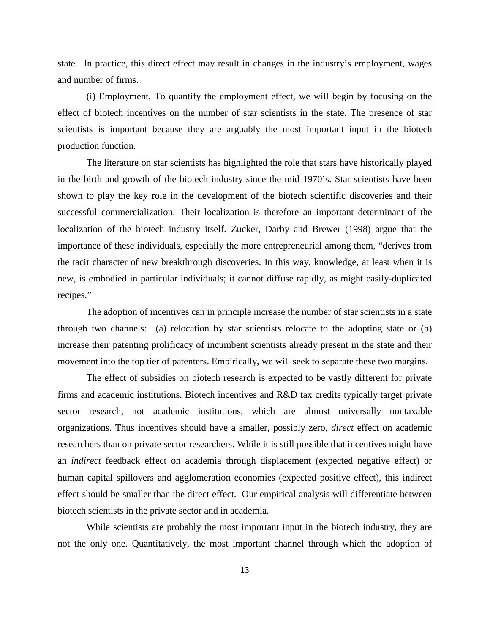state. In practice, this direct effect may result in changes in the industry's employment, wages and number of firms.

(i) Employment. To quantify the employment effect, we will begin by focusing on the effect of biotech incentives on the number of star scientists in the state. The presence of star scientists is important because they are arguably the most important input in the biotech production function.

The literature on star scientists has highlighted the role that stars have historically played in the birth and growth of the biotech industry since the mid 1970's. Star scientists have been shown to play the key role in the development of the biotech scientific discoveries and their successful commercialization. Their localization is therefore an important determinant of the localization of the biotech industry itself. Zucker, Darby and Brewer (1998) argue that the importance of these individuals, especially the more entrepreneurial among them, "derives from the tacit character of new breakthrough discoveries. In this way, knowledge, at least when it is new, is embodied in particular individuals; it cannot diffuse rapidly, as might easily-duplicated recipes."

The adoption of incentives can in principle increase the number of star scientists in a state through two channels: (a) relocation by star scientists relocate to the adopting state or (b) increase their patenting prolificacy of incumbent scientists already present in the state and their movement into the top tier of patenters. Empirically, we will seek to separate these two margins.

The effect of subsidies on biotech research is expected to be vastly different for private firms and academic institutions. Biotech incentives and R&D tax credits typically target private sector research, not academic institutions, which are almost universally nontaxable organizations. Thus incentives should have a smaller, possibly zero, *direct* effect on academic researchers than on private sector researchers. While it is still possible that incentives might have an *indirect* feedback effect on academia through displacement (expected negative effect) or human capital spillovers and agglomeration economies (expected positive effect), this indirect effect should be smaller than the direct effect. Our empirical analysis will differentiate between biotech scientists in the private sector and in academia.

While scientists are probably the most important input in the biotech industry, they are not the only one. Quantitatively, the most important channel through which the adoption of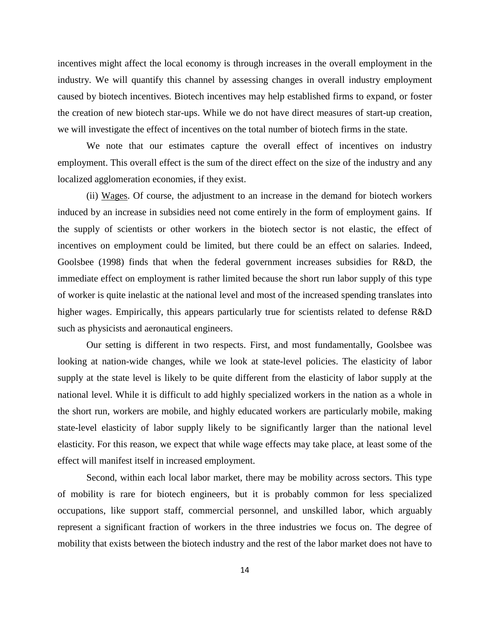incentives might affect the local economy is through increases in the overall employment in the industry. We will quantify this channel by assessing changes in overall industry employment caused by biotech incentives. Biotech incentives may help established firms to expand, or foster the creation of new biotech star-ups. While we do not have direct measures of start-up creation, we will investigate the effect of incentives on the total number of biotech firms in the state.

We note that our estimates capture the overall effect of incentives on industry employment. This overall effect is the sum of the direct effect on the size of the industry and any localized agglomeration economies, if they exist.

(ii) Wages. Of course, the adjustment to an increase in the demand for biotech workers induced by an increase in subsidies need not come entirely in the form of employment gains. If the supply of scientists or other workers in the biotech sector is not elastic, the effect of incentives on employment could be limited, but there could be an effect on salaries. Indeed, Goolsbee (1998) finds that when the federal government increases subsidies for R&D, the immediate effect on employment is rather limited because the short run labor supply of this type of worker is quite inelastic at the national level and most of the increased spending translates into higher wages. Empirically, this appears particularly true for scientists related to defense R&D such as physicists and aeronautical engineers.

Our setting is different in two respects. First, and most fundamentally, Goolsbee was looking at nation-wide changes, while we look at state-level policies. The elasticity of labor supply at the state level is likely to be quite different from the elasticity of labor supply at the national level. While it is difficult to add highly specialized workers in the nation as a whole in the short run, workers are mobile, and highly educated workers are particularly mobile, making state-level elasticity of labor supply likely to be significantly larger than the national level elasticity. For this reason, we expect that while wage effects may take place, at least some of the effect will manifest itself in increased employment.

Second, within each local labor market, there may be mobility across sectors. This type of mobility is rare for biotech engineers, but it is probably common for less specialized occupations, like support staff, commercial personnel, and unskilled labor, which arguably represent a significant fraction of workers in the three industries we focus on. The degree of mobility that exists between the biotech industry and the rest of the labor market does not have to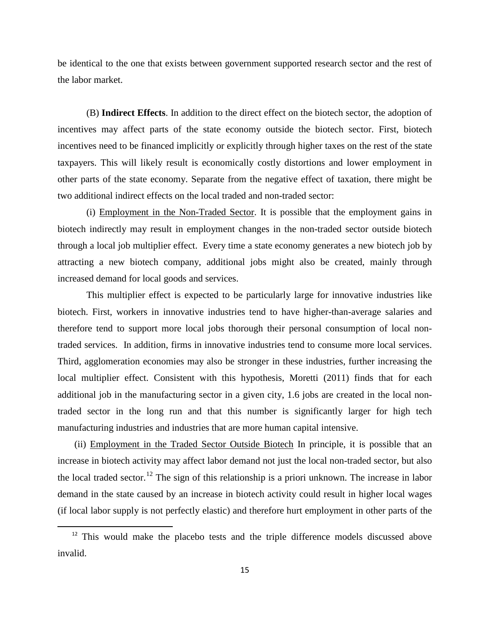be identical to the one that exists between government supported research sector and the rest of the labor market.

(B) **Indirect Effects**. In addition to the direct effect on the biotech sector, the adoption of incentives may affect parts of the state economy outside the biotech sector. First, biotech incentives need to be financed implicitly or explicitly through higher taxes on the rest of the state taxpayers. This will likely result is economically costly distortions and lower employment in other parts of the state economy. Separate from the negative effect of taxation, there might be two additional indirect effects on the local traded and non-traded sector:

(i) Employment in the Non-Traded Sector. It is possible that the employment gains in biotech indirectly may result in employment changes in the non-traded sector outside biotech through a local job multiplier effect. Every time a state economy generates a new biotech job by attracting a new biotech company, additional jobs might also be created, mainly through increased demand for local goods and services.

This multiplier effect is expected to be particularly large for innovative industries like biotech. First, workers in innovative industries tend to have higher-than-average salaries and therefore tend to support more local jobs thorough their personal consumption of local nontraded services. In addition, firms in innovative industries tend to consume more local services. Third, agglomeration economies may also be stronger in these industries, further increasing the local multiplier effect. Consistent with this hypothesis, Moretti (2011) finds that for each additional job in the manufacturing sector in a given city, 1.6 jobs are created in the local nontraded sector in the long run and that this number is significantly larger for high tech manufacturing industries and industries that are more human capital intensive.

(ii) Employment in the Traded Sector Outside Biotech In principle, it is possible that an increase in biotech activity may affect labor demand not just the local non-traded sector, but also the local traded sector.<sup>[12](#page-15-0)</sup> The sign of this relationship is a priori unknown. The increase in labor demand in the state caused by an increase in biotech activity could result in higher local wages (if local labor supply is not perfectly elastic) and therefore hurt employment in other parts of the

<span id="page-15-0"></span> $12$  This would make the placebo tests and the triple difference models discussed above invalid.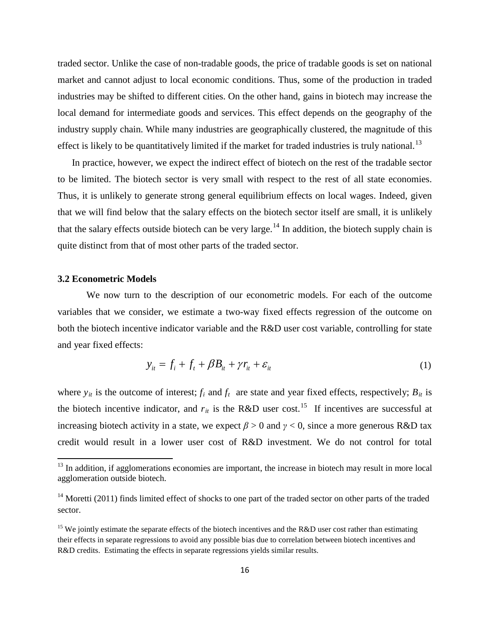traded sector. Unlike the case of non-tradable goods, the price of tradable goods is set on national market and cannot adjust to local economic conditions. Thus, some of the production in traded industries may be shifted to different cities. On the other hand, gains in biotech may increase the local demand for intermediate goods and services. This effect depends on the geography of the industry supply chain. While many industries are geographically clustered, the magnitude of this effect is likely to be quantitatively limited if the market for traded industries is truly national.<sup>[13](#page-16-0)</sup>

In practice, however, we expect the indirect effect of biotech on the rest of the tradable sector to be limited. The biotech sector is very small with respect to the rest of all state economies. Thus, it is unlikely to generate strong general equilibrium effects on local wages. Indeed, given that we will find below that the salary effects on the biotech sector itself are small, it is unlikely that the salary effects outside biotech can be very large.<sup>[14](#page-16-1)</sup> In addition, the biotech supply chain is quite distinct from that of most other parts of the traded sector.

#### **3.2 Econometric Models**

l

We now turn to the description of our econometric models. For each of the outcome variables that we consider, we estimate a two-way fixed effects regression of the outcome on both the biotech incentive indicator variable and the R&D user cost variable, controlling for state and year fixed effects:

$$
y_{it} = f_i + f_t + \beta B_{it} + \gamma r_{it} + \varepsilon_{it}
$$
 (1)

where  $y_{it}$  is the outcome of interest;  $f_i$  and  $f_t$  are state and year fixed effects, respectively;  $B_{it}$  is the biotech incentive indicator, and  $r_{it}$  is the R&D user cost.<sup>15</sup> If incentives are successful at increasing biotech activity in a state, we expect  $\beta > 0$  and  $\gamma < 0$ , since a more generous R&D tax credit would result in a lower user cost of R&D investment. We do not control for total

<span id="page-16-0"></span><sup>&</sup>lt;sup>13</sup> In addition, if agglomerations economies are important, the increase in biotech may result in more local agglomeration outside biotech.

<span id="page-16-1"></span><sup>&</sup>lt;sup>14</sup> Moretti (2011) finds limited effect of shocks to one part of the traded sector on other parts of the traded sector.

<span id="page-16-2"></span><sup>&</sup>lt;sup>15</sup> We jointly estimate the separate effects of the biotech incentives and the R&D user cost rather than estimating their effects in separate regressions to avoid any possible bias due to correlation between biotech incentives and R&D credits. Estimating the effects in separate regressions yields similar results.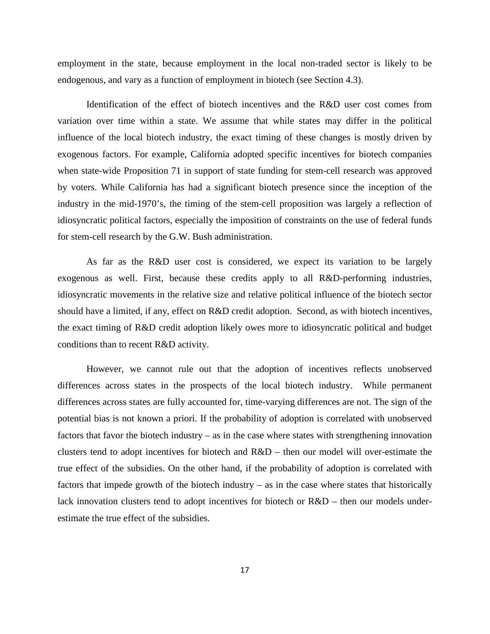employment in the state, because employment in the local non-traded sector is likely to be endogenous, and vary as a function of employment in biotech (see Section 4.3).

Identification of the effect of biotech incentives and the R&D user cost comes from variation over time within a state. We assume that while states may differ in the political influence of the local biotech industry, the exact timing of these changes is mostly driven by exogenous factors. For example, California adopted specific incentives for biotech companies when state-wide Proposition 71 in support of state funding for stem-cell research was approved by voters. While California has had a significant biotech presence since the inception of the industry in the mid-1970's, the timing of the stem-cell proposition was largely a reflection of idiosyncratic political factors, especially the imposition of constraints on the use of federal funds for stem-cell research by the G.W. Bush administration.

As far as the R&D user cost is considered, we expect its variation to be largely exogenous as well. First, because these credits apply to all R&D-performing industries, idiosyncratic movements in the relative size and relative political influence of the biotech sector should have a limited, if any, effect on R&D credit adoption. Second, as with biotech incentives, the exact timing of R&D credit adoption likely owes more to idiosyncratic political and budget conditions than to recent R&D activity.

However, we cannot rule out that the adoption of incentives reflects unobserved differences across states in the prospects of the local biotech industry. While permanent differences across states are fully accounted for, time-varying differences are not. The sign of the potential bias is not known a priori. If the probability of adoption is correlated with unobserved factors that favor the biotech industry – as in the case where states with strengthening innovation clusters tend to adopt incentives for biotech and R&D – then our model will over-estimate the true effect of the subsidies. On the other hand, if the probability of adoption is correlated with factors that impede growth of the biotech industry – as in the case where states that historically lack innovation clusters tend to adopt incentives for biotech or R&D – then our models underestimate the true effect of the subsidies.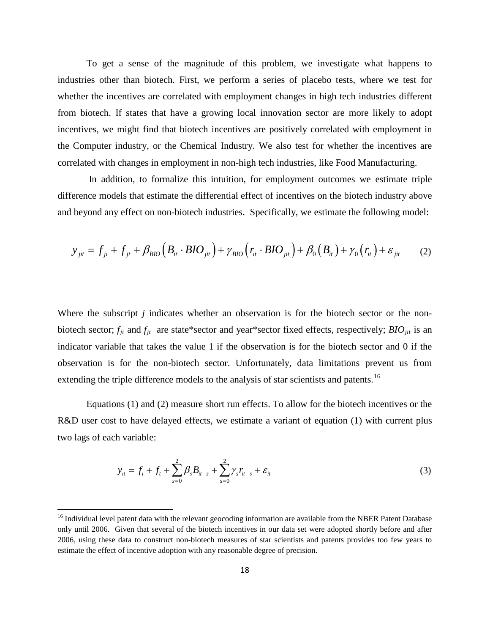To get a sense of the magnitude of this problem, we investigate what happens to industries other than biotech. First, we perform a series of placebo tests, where we test for whether the incentives are correlated with employment changes in high tech industries different from biotech. If states that have a growing local innovation sector are more likely to adopt incentives, we might find that biotech incentives are positively correlated with employment in the Computer industry, or the Chemical Industry. We also test for whether the incentives are correlated with changes in employment in non-high tech industries, like Food Manufacturing.

In addition, to formalize this intuition, for employment outcomes we estimate triple difference models that estimate the differential effect of incentives on the biotech industry above and beyond any effect on non-biotech industries. Specifically, we estimate the following model:

$$
y_{jit} = f_{ji} + f_{jt} + \beta_{BIO} \left( B_{it} \cdot BIO_{jit} \right) + \gamma_{BIO} \left( r_{it} \cdot BIO_{jit} \right) + \beta_0 \left( B_{it} \right) + \gamma_0 \left( r_{it} \right) + \varepsilon_{jit}
$$
 (2)

Where the subscript *j* indicates whether an observation is for the biotech sector or the nonbiotech sector;  $f_{ji}$  and  $f_{jt}$  are state\*sector and year\*sector fixed effects, respectively; *BIO<sub>jit</sub>* is an indicator variable that takes the value 1 if the observation is for the biotech sector and 0 if the observation is for the non-biotech sector. Unfortunately, data limitations prevent us from extending the triple difference models to the analysis of star scientists and patents.<sup>[16](#page-18-0)</sup>

Equations (1) and (2) measure short run effects. To allow for the biotech incentives or the R&D user cost to have delayed effects, we estimate a variant of equation (1) with current plus two lags of each variable:

$$
y_{it} = f_i + f_t + \sum_{s=0}^{2} \beta_s B_{it-s} + \sum_{s=0}^{2} \gamma_s r_{it-s} + \varepsilon_{it}
$$
 (3)

l

<span id="page-18-0"></span><sup>&</sup>lt;sup>16</sup> Individual level patent data with the relevant geocoding information are available from the NBER Patent Database only until 2006. Given that several of the biotech incentives in our data set were adopted shortly before and after 2006, using these data to construct non-biotech measures of star scientists and patents provides too few years to estimate the effect of incentive adoption with any reasonable degree of precision.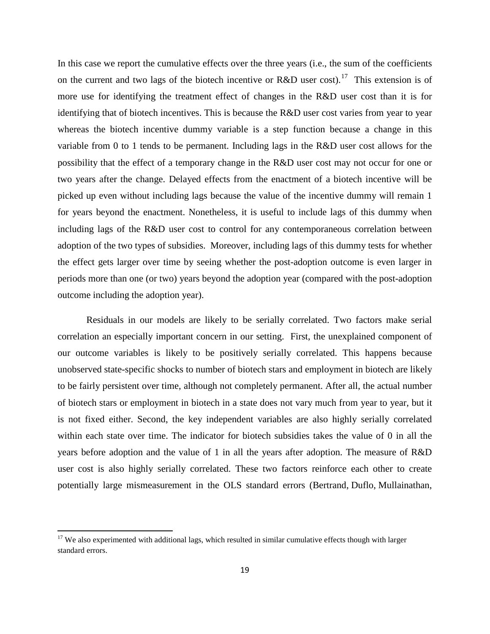In this case we report the cumulative effects over the three years (i.e., the sum of the coefficients on the current and two lags of the biotech incentive or  $R&D$  user cost).<sup>17</sup> This extension is of more use for identifying the treatment effect of changes in the R&D user cost than it is for identifying that of biotech incentives. This is because the R&D user cost varies from year to year whereas the biotech incentive dummy variable is a step function because a change in this variable from 0 to 1 tends to be permanent. Including lags in the R&D user cost allows for the possibility that the effect of a temporary change in the R&D user cost may not occur for one or two years after the change. Delayed effects from the enactment of a biotech incentive will be picked up even without including lags because the value of the incentive dummy will remain 1 for years beyond the enactment. Nonetheless, it is useful to include lags of this dummy when including lags of the R&D user cost to control for any contemporaneous correlation between adoption of the two types of subsidies. Moreover, including lags of this dummy tests for whether the effect gets larger over time by seeing whether the post-adoption outcome is even larger in periods more than one (or two) years beyond the adoption year (compared with the post-adoption outcome including the adoption year).

Residuals in our models are likely to be serially correlated. Two factors make serial correlation an especially important concern in our setting. First, the unexplained component of our outcome variables is likely to be positively serially correlated. This happens because unobserved state-specific shocks to number of biotech stars and employment in biotech are likely to be fairly persistent over time, although not completely permanent. After all, the actual number of biotech stars or employment in biotech in a state does not vary much from year to year, but it is not fixed either. Second, the key independent variables are also highly serially correlated within each state over time. The indicator for biotech subsidies takes the value of 0 in all the years before adoption and the value of 1 in all the years after adoption. The measure of R&D user cost is also highly serially correlated. These two factors reinforce each other to create potentially large mismeasurement in the OLS standard errors [\(Bertrand,](http://www.nber.org/people/marianne_bertrand) [Duflo,](http://www.nber.org/people/esther_duflo) [Mullainathan,](http://www.nber.org/people/sendhil_mullainathan)

 $\overline{\phantom{a}}$ 

<span id="page-19-0"></span><sup>&</sup>lt;sup>17</sup> We also experimented with additional lags, which resulted in similar cumulative effects though with larger standard errors.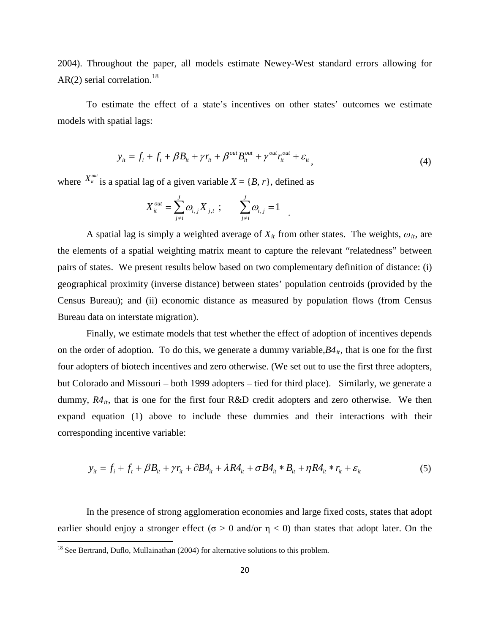2004). Throughout the paper, all models estimate Newey-West standard errors allowing for  $AR(2)$  serial correlation.<sup>[18](#page-20-0)</sup>

To estimate the effect of a state's incentives on other states' outcomes we estimate models with spatial lags:

$$
y_{it} = f_i + f_t + \beta B_{it} + \gamma r_{it} + \beta^{out} B_{it}^{out} + \gamma^{out} r_{it}^{out} + \varepsilon_{it},
$$
\n(4)

where  $X_i^{out}$  is a spatial lag of a given variable  $X = \{B, r\}$ , defined as

$$
X_{it}^{out} = \sum_{j \neq i}^{J} \omega_{i,j} X_{j,t} \; ; \qquad \sum_{j \neq i}^{J} \omega_{i,j} = 1
$$

A spatial lag is simply a weighted average of  $X_{it}$  from other states. The weights,  $\omega_{it}$ , are the elements of a spatial weighting matrix meant to capture the relevant "relatedness" between pairs of states. We present results below based on two complementary definition of distance: (i) geographical proximity (inverse distance) between states' population centroids (provided by the Census Bureau); and (ii) economic distance as measured by population flows (from Census Bureau data on interstate migration).

Finally, we estimate models that test whether the effect of adoption of incentives depends on the order of adoption. To do this, we generate a dummy variable, $B4_{it}$ , that is one for the first four adopters of biotech incentives and zero otherwise. (We set out to use the first three adopters, but Colorado and Missouri – both 1999 adopters – tied for third place). Similarly, we generate a dummy,  $R4_{it}$ , that is one for the first four R&D credit adopters and zero otherwise. We then expand equation (1) above to include these dummies and their interactions with their corresponding incentive variable:

$$
y_{it} = f_i + f_t + \beta B_{it} + \gamma r_{it} + \partial B_1 + \lambda R_1 + \sigma B_2 + R_2 + \eta R_2 + r_{it} + \varepsilon_{it}
$$
(5)

In the presence of strong agglomeration economies and large fixed costs, states that adopt earlier should enjoy a stronger effect ( $\sigma > 0$  and/or  $\eta < 0$ ) than states that adopt later. On the

<span id="page-20-0"></span> $18$  See [Bertrand,](http://www.nber.org/people/marianne_bertrand) [Duflo,](http://www.nber.org/people/esther_duflo) [Mullainathan](http://www.nber.org/people/sendhil_mullainathan) (2004) for alternative solutions to this problem.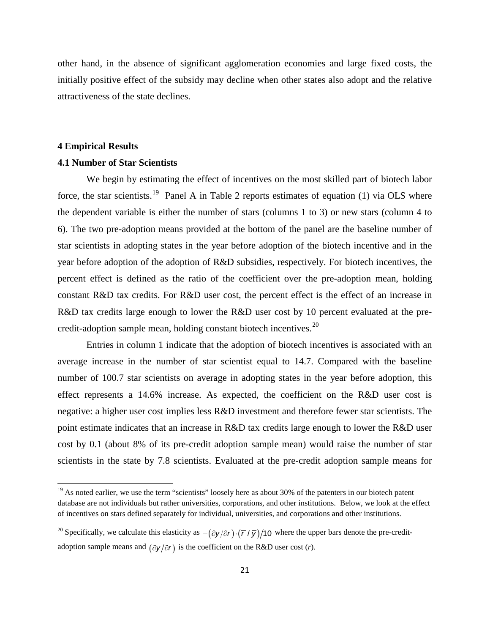other hand, in the absence of significant agglomeration economies and large fixed costs, the initially positive effect of the subsidy may decline when other states also adopt and the relative attractiveness of the state declines.

#### **4 Empirical Results**

 $\overline{\phantom{a}}$ 

#### **4.1 Number of Star Scientists**

We begin by estimating the effect of incentives on the most skilled part of biotech labor force, the star scientists.<sup>[19](#page-21-0)</sup> Panel A in Table 2 reports estimates of equation (1) via OLS where the dependent variable is either the number of stars (columns 1 to 3) or new stars (column 4 to 6). The two pre-adoption means provided at the bottom of the panel are the baseline number of star scientists in adopting states in the year before adoption of the biotech incentive and in the year before adoption of the adoption of R&D subsidies, respectively. For biotech incentives, the percent effect is defined as the ratio of the coefficient over the pre-adoption mean, holding constant R&D tax credits. For R&D user cost, the percent effect is the effect of an increase in R&D tax credits large enough to lower the R&D user cost by 10 percent evaluated at the precredit-adoption sample mean, holding constant biotech incentives.[20](#page-21-1)

Entries in column 1 indicate that the adoption of biotech incentives is associated with an average increase in the number of star scientist equal to 14.7. Compared with the baseline number of 100.7 star scientists on average in adopting states in the year before adoption, this effect represents a 14.6% increase. As expected, the coefficient on the R&D user cost is negative: a higher user cost implies less R&D investment and therefore fewer star scientists. The point estimate indicates that an increase in R&D tax credits large enough to lower the R&D user cost by 0.1 (about 8% of its pre-credit adoption sample mean) would raise the number of star scientists in the state by 7.8 scientists. Evaluated at the pre-credit adoption sample means for

<span id="page-21-0"></span> $19$  As noted earlier, we use the term "scientists" loosely here as about 30% of the patenters in our biotech patent database are not individuals but rather universities, corporations, and other institutions. Below, we look at the effect of incentives on stars defined separately for individual, universities, and corporations and other institutions.

<span id="page-21-1"></span><sup>&</sup>lt;sup>20</sup> Specifically, we calculate this elasticity as  $-(\partial y/\partial r) \cdot (\overline{r}/\overline{y})/10$  where the upper bars denote the pre-creditadoption sample means and  $(\partial \mathbf{v}/\partial r)$  is the coefficient on the R&D user cost  $(r)$ .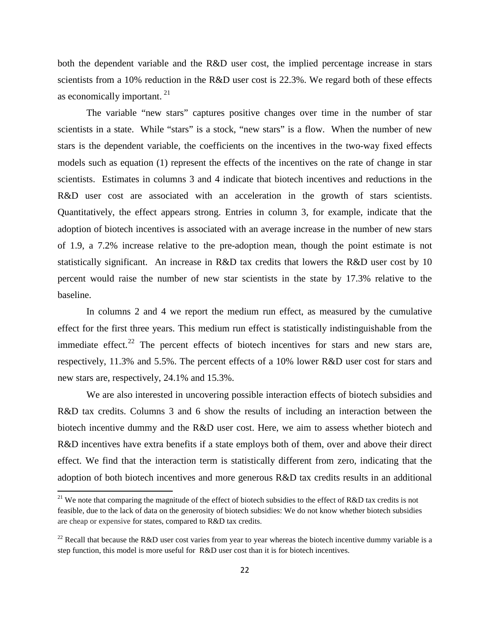both the dependent variable and the R&D user cost, the implied percentage increase in stars scientists from a 10% reduction in the R&D user cost is 22.3%. We regard both of these effects as economically important.<sup>[21](#page-22-0)</sup>

The variable "new stars" captures positive changes over time in the number of star scientists in a state. While "stars" is a stock, "new stars" is a flow. When the number of new stars is the dependent variable, the coefficients on the incentives in the two-way fixed effects models such as equation (1) represent the effects of the incentives on the rate of change in star scientists. Estimates in columns 3 and 4 indicate that biotech incentives and reductions in the R&D user cost are associated with an acceleration in the growth of stars scientists. Quantitatively, the effect appears strong. Entries in column 3, for example, indicate that the adoption of biotech incentives is associated with an average increase in the number of new stars of 1.9, a 7.2% increase relative to the pre-adoption mean, though the point estimate is not statistically significant. An increase in R&D tax credits that lowers the R&D user cost by 10 percent would raise the number of new star scientists in the state by 17.3% relative to the baseline.

In columns 2 and 4 we report the medium run effect, as measured by the cumulative effect for the first three years. This medium run effect is statistically indistinguishable from the immediate effect.<sup>[22](#page-22-1)</sup> The percent effects of biotech incentives for stars and new stars are, respectively, 11.3% and 5.5%. The percent effects of a 10% lower R&D user cost for stars and new stars are, respectively, 24.1% and 15.3%.

We are also interested in uncovering possible interaction effects of biotech subsidies and R&D tax credits. Columns 3 and 6 show the results of including an interaction between the biotech incentive dummy and the R&D user cost. Here, we aim to assess whether biotech and R&D incentives have extra benefits if a state employs both of them, over and above their direct effect. We find that the interaction term is statistically different from zero, indicating that the adoption of both biotech incentives and more generous R&D tax credits results in an additional

l

<span id="page-22-0"></span><sup>&</sup>lt;sup>21</sup> We note that comparing the magnitude of the effect of biotech subsidies to the effect of R&D tax credits is not feasible, due to the lack of data on the generosity of biotech subsidies: We do not know whether biotech subsidies are cheap or expensive for states, compared to R&D tax credits.

<span id="page-22-1"></span><sup>&</sup>lt;sup>22</sup> Recall that because the R&D user cost varies from year to year whereas the biotech incentive dummy variable is a step function, this model is more useful for R&D user cost than it is for biotech incentives.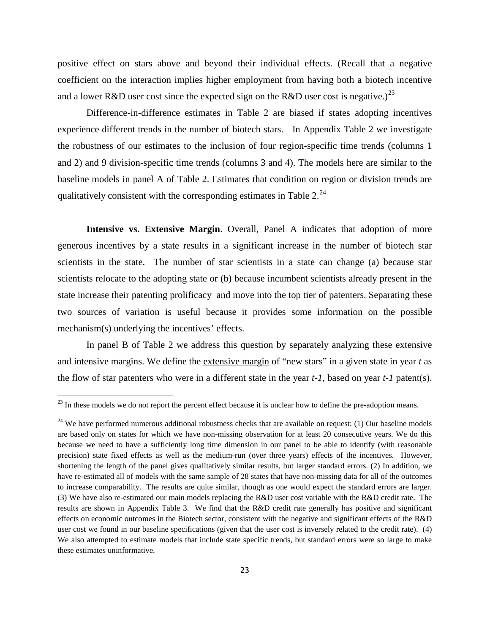positive effect on stars above and beyond their individual effects. (Recall that a negative coefficient on the interaction implies higher employment from having both a biotech incentive and a lower R&D user cost since the expected sign on the R&D user cost is negative.)<sup>[23](#page-23-0)</sup>

Difference-in-difference estimates in Table 2 are biased if states adopting incentives experience different trends in the number of biotech stars. In Appendix Table 2 we investigate the robustness of our estimates to the inclusion of four region-specific time trends (columns 1 and 2) and 9 division-specific time trends (columns 3 and 4). The models here are similar to the baseline models in panel A of Table 2. Estimates that condition on region or division trends are qualitatively consistent with the corresponding estimates in Table  $2^{24}$  $2^{24}$  $2^{24}$ .

**Intensive vs. Extensive Margin**. Overall, Panel A indicates that adoption of more generous incentives by a state results in a significant increase in the number of biotech star scientists in the state. The number of star scientists in a state can change (a) because star scientists relocate to the adopting state or (b) because incumbent scientists already present in the state increase their patenting prolificacy and move into the top tier of patenters. Separating these two sources of variation is useful because it provides some information on the possible mechanism(s) underlying the incentives' effects.

In panel B of Table 2 we address this question by separately analyzing these extensive and intensive margins. We define the extensive margin of "new stars" in a given state in year *t* as the flow of star patenters who were in a different state in the year *t-1*, based on year *t-1* patent(s).

l

<span id="page-23-0"></span> $^{23}$  In these models we do not report the percent effect because it is unclear how to define the pre-adoption means.

<span id="page-23-1"></span><sup>&</sup>lt;sup>24</sup> We have performed numerous additional robustness checks that are available on request: (1) Our baseline models are based only on states for which we have non-missing observation for at least 20 consecutive years. We do this because we need to have a sufficiently long time dimension in our panel to be able to identify (with reasonable precision) state fixed effects as well as the medium-run (over three years) effects of the incentives. However, shortening the length of the panel gives qualitatively similar results, but larger standard errors. (2) In addition, we have re-estimated all of models with the same sample of 28 states that have non-missing data for all of the outcomes to increase comparability. The results are quite similar, though as one would expect the standard errors are larger. (3) We have also re-estimated our main models replacing the R&D user cost variable with the R&D credit rate. The results are shown in Appendix Table 3. We find that the R&D credit rate generally has positive and significant effects on economic outcomes in the Biotech sector, consistent with the negative and significant effects of the R&D user cost we found in our baseline specifications (given that the user cost is inversely related to the credit rate). (4) We also attempted to estimate models that include state specific trends, but standard errors were so large to make these estimates uninformative.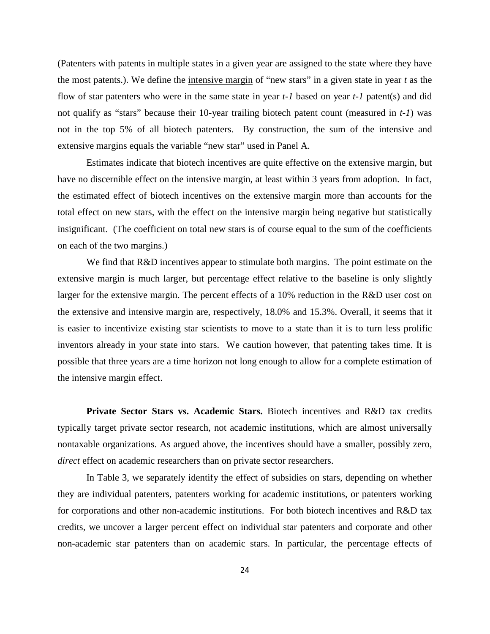(Patenters with patents in multiple states in a given year are assigned to the state where they have the most patents.). We define the intensive margin of "new stars" in a given state in year *t* as the flow of star patenters who were in the same state in year *t-1* based on year *t-1* patent(s) and did not qualify as "stars" because their 10-year trailing biotech patent count (measured in *t-1*) was not in the top 5% of all biotech patenters. By construction, the sum of the intensive and extensive margins equals the variable "new star" used in Panel A.

Estimates indicate that biotech incentives are quite effective on the extensive margin, but have no discernible effect on the intensive margin, at least within 3 years from adoption. In fact, the estimated effect of biotech incentives on the extensive margin more than accounts for the total effect on new stars, with the effect on the intensive margin being negative but statistically insignificant. (The coefficient on total new stars is of course equal to the sum of the coefficients on each of the two margins.)

We find that R&D incentives appear to stimulate both margins. The point estimate on the extensive margin is much larger, but percentage effect relative to the baseline is only slightly larger for the extensive margin. The percent effects of a 10% reduction in the R&D user cost on the extensive and intensive margin are, respectively, 18.0% and 15.3%. Overall, it seems that it is easier to incentivize existing star scientists to move to a state than it is to turn less prolific inventors already in your state into stars. We caution however, that patenting takes time. It is possible that three years are a time horizon not long enough to allow for a complete estimation of the intensive margin effect.

**Private Sector Stars vs. Academic Stars.** Biotech incentives and R&D tax credits typically target private sector research, not academic institutions, which are almost universally nontaxable organizations. As argued above, the incentives should have a smaller, possibly zero, *direct* effect on academic researchers than on private sector researchers.

In Table 3, we separately identify the effect of subsidies on stars, depending on whether they are individual patenters, patenters working for academic institutions, or patenters working for corporations and other non-academic institutions. For both biotech incentives and R&D tax credits, we uncover a larger percent effect on individual star patenters and corporate and other non-academic star patenters than on academic stars. In particular, the percentage effects of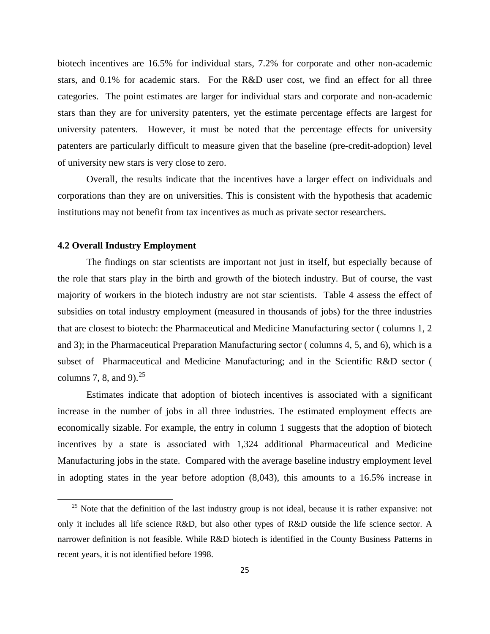biotech incentives are 16.5% for individual stars, 7.2% for corporate and other non-academic stars, and 0.1% for academic stars. For the R&D user cost, we find an effect for all three categories. The point estimates are larger for individual stars and corporate and non-academic stars than they are for university patenters, yet the estimate percentage effects are largest for university patenters. However, it must be noted that the percentage effects for university patenters are particularly difficult to measure given that the baseline (pre-credit-adoption) level of university new stars is very close to zero.

Overall, the results indicate that the incentives have a larger effect on individuals and corporations than they are on universities. This is consistent with the hypothesis that academic institutions may not benefit from tax incentives as much as private sector researchers.

#### **4.2 Overall Industry Employment**

 $\overline{\phantom{a}}$ 

The findings on star scientists are important not just in itself, but especially because of the role that stars play in the birth and growth of the biotech industry. But of course, the vast majority of workers in the biotech industry are not star scientists. Table 4 assess the effect of subsidies on total industry employment (measured in thousands of jobs) for the three industries that are closest to biotech: the Pharmaceutical and Medicine Manufacturing sector ( columns 1, 2 and 3); in the Pharmaceutical Preparation Manufacturing sector ( columns 4, 5, and 6), which is a subset of Pharmaceutical and Medicine Manufacturing; and in the Scientific R&D sector ( columns 7, 8, and 9).  $25$ 

Estimates indicate that adoption of biotech incentives is associated with a significant increase in the number of jobs in all three industries. The estimated employment effects are economically sizable. For example, the entry in column 1 suggests that the adoption of biotech incentives by a state is associated with 1,324 additional Pharmaceutical and Medicine Manufacturing jobs in the state. Compared with the average baseline industry employment level in adopting states in the year before adoption (8,043), this amounts to a 16.5% increase in

<span id="page-25-0"></span> $^{25}$  Note that the definition of the last industry group is not ideal, because it is rather expansive: not only it includes all life science R&D, but also other types of R&D outside the life science sector. A narrower definition is not feasible. While R&D biotech is identified in the County Business Patterns in recent years, it is not identified before 1998.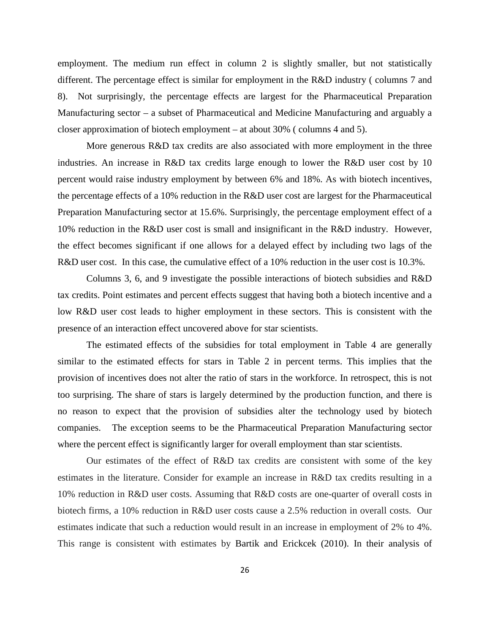employment. The medium run effect in column 2 is slightly smaller, but not statistically different. The percentage effect is similar for employment in the R&D industry ( columns 7 and 8). Not surprisingly, the percentage effects are largest for the Pharmaceutical Preparation Manufacturing sector – a subset of Pharmaceutical and Medicine Manufacturing and arguably a closer approximation of biotech employment – at about 30% ( columns 4 and 5).

More generous R&D tax credits are also associated with more employment in the three industries. An increase in R&D tax credits large enough to lower the R&D user cost by 10 percent would raise industry employment by between 6% and 18%. As with biotech incentives, the percentage effects of a 10% reduction in the R&D user cost are largest for the Pharmaceutical Preparation Manufacturing sector at 15.6%. Surprisingly, the percentage employment effect of a 10% reduction in the R&D user cost is small and insignificant in the R&D industry. However, the effect becomes significant if one allows for a delayed effect by including two lags of the R&D user cost. In this case, the cumulative effect of a 10% reduction in the user cost is 10.3%.

Columns 3, 6, and 9 investigate the possible interactions of biotech subsidies and R&D tax credits. Point estimates and percent effects suggest that having both a biotech incentive and a low R&D user cost leads to higher employment in these sectors. This is consistent with the presence of an interaction effect uncovered above for star scientists.

The estimated effects of the subsidies for total employment in Table 4 are generally similar to the estimated effects for stars in Table 2 in percent terms. This implies that the provision of incentives does not alter the ratio of stars in the workforce. In retrospect, this is not too surprising. The share of stars is largely determined by the production function, and there is no reason to expect that the provision of subsidies alter the technology used by biotech companies. The exception seems to be the Pharmaceutical Preparation Manufacturing sector where the percent effect is significantly larger for overall employment than star scientists.

Our estimates of the effect of R&D tax credits are consistent with some of the key estimates in the literature. Consider for example an increase in R&D tax credits resulting in a 10% reduction in R&D user costs. Assuming that R&D costs are one-quarter of overall costs in biotech firms, a 10% reduction in R&D user costs cause a 2.5% reduction in overall costs. Our estimates indicate that such a reduction would result in an increase in employment of 2% to 4%. This range is consistent with estimates by Bartik and Erickcek (2010). In their analysis of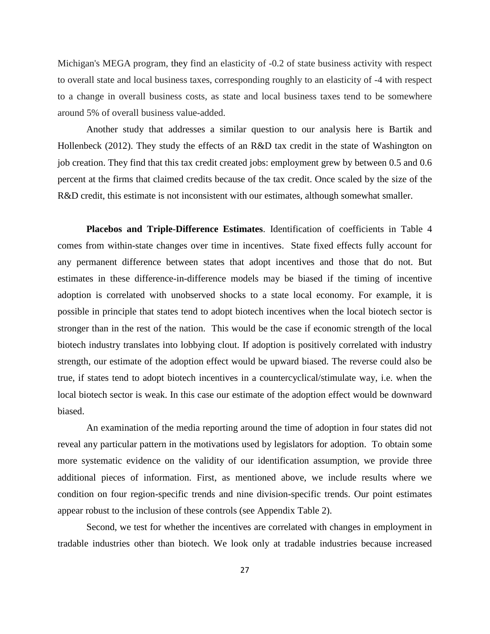Michigan's MEGA program, they find an elasticity of -0.2 of state business activity with respect to overall state and local business taxes, corresponding roughly to an elasticity of -4 with respect to a change in overall business costs, as state and local business taxes tend to be somewhere around 5% of overall business value-added.

Another study that addresses a similar question to our analysis here is Bartik and Hollenbeck (2012). They study the effects of an R&D tax credit in the state of Washington on job creation. They find that this tax credit created jobs: employment grew by between 0.5 and 0.6 percent at the firms that claimed credits because of the tax credit. Once scaled by the size of the R&D credit, this estimate is not inconsistent with our estimates, although somewhat smaller.

**Placebos and Triple-Difference Estimates**. Identification of coefficients in Table 4 comes from within-state changes over time in incentives. State fixed effects fully account for any permanent difference between states that adopt incentives and those that do not. But estimates in these difference-in-difference models may be biased if the timing of incentive adoption is correlated with unobserved shocks to a state local economy. For example, it is possible in principle that states tend to adopt biotech incentives when the local biotech sector is stronger than in the rest of the nation. This would be the case if economic strength of the local biotech industry translates into lobbying clout. If adoption is positively correlated with industry strength, our estimate of the adoption effect would be upward biased. The reverse could also be true, if states tend to adopt biotech incentives in a countercyclical/stimulate way, i.e. when the local biotech sector is weak. In this case our estimate of the adoption effect would be downward biased.

An examination of the media reporting around the time of adoption in four states did not reveal any particular pattern in the motivations used by legislators for adoption. To obtain some more systematic evidence on the validity of our identification assumption, we provide three additional pieces of information. First, as mentioned above, we include results where we condition on four region-specific trends and nine division-specific trends. Our point estimates appear robust to the inclusion of these controls (see Appendix Table 2).

Second, we test for whether the incentives are correlated with changes in employment in tradable industries other than biotech. We look only at tradable industries because increased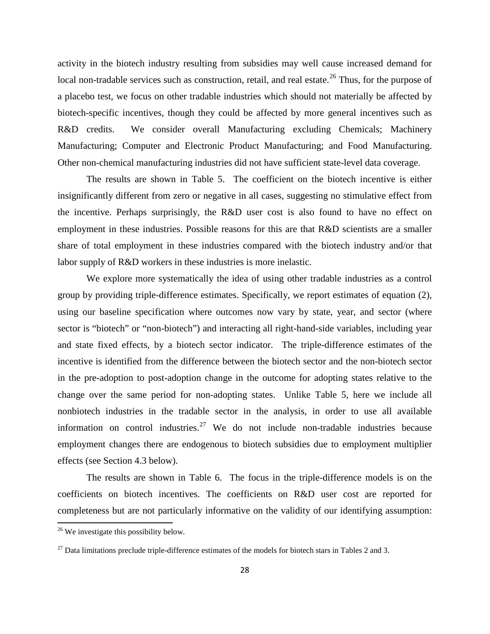activity in the biotech industry resulting from subsidies may well cause increased demand for local non-tradable services such as construction, retail, and real estate.<sup>[26](#page-28-0)</sup> Thus, for the purpose of a placebo test, we focus on other tradable industries which should not materially be affected by biotech-specific incentives, though they could be affected by more general incentives such as R&D credits. We consider overall Manufacturing excluding Chemicals; Machinery Manufacturing; Computer and Electronic Product Manufacturing; and Food Manufacturing. Other non-chemical manufacturing industries did not have sufficient state-level data coverage.

The results are shown in Table 5. The coefficient on the biotech incentive is either insignificantly different from zero or negative in all cases, suggesting no stimulative effect from the incentive. Perhaps surprisingly, the R&D user cost is also found to have no effect on employment in these industries. Possible reasons for this are that R&D scientists are a smaller share of total employment in these industries compared with the biotech industry and/or that labor supply of R&D workers in these industries is more inelastic.

We explore more systematically the idea of using other tradable industries as a control group by providing triple-difference estimates. Specifically, we report estimates of equation (2), using our baseline specification where outcomes now vary by state, year, and sector (where sector is "biotech" or "non-biotech") and interacting all right-hand-side variables, including year and state fixed effects, by a biotech sector indicator. The triple-difference estimates of the incentive is identified from the difference between the biotech sector and the non-biotech sector in the pre-adoption to post-adoption change in the outcome for adopting states relative to the change over the same period for non-adopting states. Unlike Table 5, here we include all nonbiotech industries in the tradable sector in the analysis, in order to use all available information on control industries.<sup>[27](#page-28-1)</sup> We do not include non-tradable industries because employment changes there are endogenous to biotech subsidies due to employment multiplier effects (see Section 4.3 below).

The results are shown in Table 6. The focus in the triple-difference models is on the coefficients on biotech incentives. The coefficients on R&D user cost are reported for completeness but are not particularly informative on the validity of our identifying assumption:

l

<span id="page-28-0"></span><sup>&</sup>lt;sup>26</sup> We investigate this possibility below.

<span id="page-28-1"></span> $27$  Data limitations preclude triple-difference estimates of the models for biotech stars in Tables 2 and 3.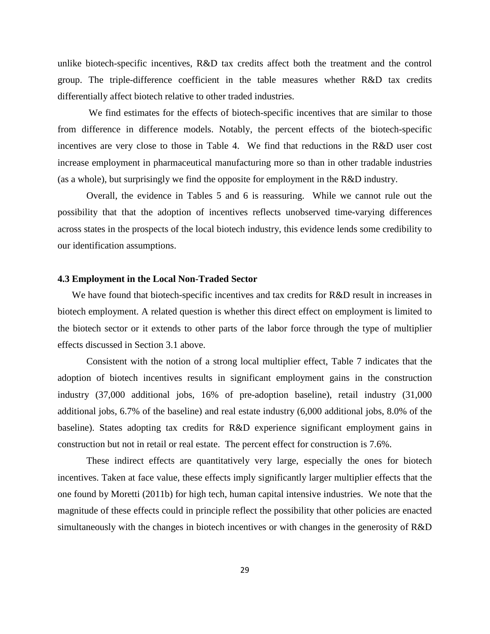unlike biotech-specific incentives, R&D tax credits affect both the treatment and the control group. The triple-difference coefficient in the table measures whether R&D tax credits differentially affect biotech relative to other traded industries.

We find estimates for the effects of biotech-specific incentives that are similar to those from difference in difference models. Notably, the percent effects of the biotech-specific incentives are very close to those in Table 4. We find that reductions in the R&D user cost increase employment in pharmaceutical manufacturing more so than in other tradable industries (as a whole), but surprisingly we find the opposite for employment in the R&D industry.

Overall, the evidence in Tables 5 and 6 is reassuring. While we cannot rule out the possibility that that the adoption of incentives reflects unobserved time-varying differences across states in the prospects of the local biotech industry, this evidence lends some credibility to our identification assumptions.

#### **4.3 Employment in the Local Non-Traded Sector**

We have found that biotech-specific incentives and tax credits for R&D result in increases in biotech employment. A related question is whether this direct effect on employment is limited to the biotech sector or it extends to other parts of the labor force through the type of multiplier effects discussed in Section 3.1 above.

Consistent with the notion of a strong local multiplier effect, Table 7 indicates that the adoption of biotech incentives results in significant employment gains in the construction industry (37,000 additional jobs, 16% of pre-adoption baseline), retail industry (31,000 additional jobs, 6.7% of the baseline) and real estate industry (6,000 additional jobs, 8.0% of the baseline). States adopting tax credits for R&D experience significant employment gains in construction but not in retail or real estate. The percent effect for construction is 7.6%.

These indirect effects are quantitatively very large, especially the ones for biotech incentives. Taken at face value, these effects imply significantly larger multiplier effects that the one found by Moretti (2011b) for high tech, human capital intensive industries. We note that the magnitude of these effects could in principle reflect the possibility that other policies are enacted simultaneously with the changes in biotech incentives or with changes in the generosity of R&D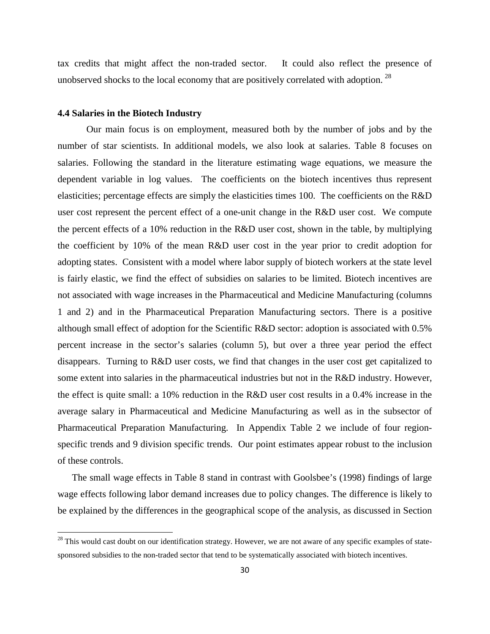tax credits that might affect the non-traded sector. It could also reflect the presence of unobserved shocks to the local economy that are positively correlated with adoption.  $^{28}$  $^{28}$  $^{28}$ 

#### **4.4 Salaries in the Biotech Industry**

Our main focus is on employment, measured both by the number of jobs and by the number of star scientists. In additional models, we also look at salaries. Table 8 focuses on salaries. Following the standard in the literature estimating wage equations, we measure the dependent variable in log values. The coefficients on the biotech incentives thus represent elasticities; percentage effects are simply the elasticities times 100. The coefficients on the R&D user cost represent the percent effect of a one-unit change in the R&D user cost. We compute the percent effects of a 10% reduction in the R&D user cost, shown in the table, by multiplying the coefficient by 10% of the mean R&D user cost in the year prior to credit adoption for adopting states. Consistent with a model where labor supply of biotech workers at the state level is fairly elastic, we find the effect of subsidies on salaries to be limited. Biotech incentives are not associated with wage increases in the Pharmaceutical and Medicine Manufacturing (columns 1 and 2) and in the Pharmaceutical Preparation Manufacturing sectors. There is a positive although small effect of adoption for the Scientific R&D sector: adoption is associated with 0.5% percent increase in the sector's salaries (column 5), but over a three year period the effect disappears. Turning to R&D user costs, we find that changes in the user cost get capitalized to some extent into salaries in the pharmaceutical industries but not in the R&D industry. However, the effect is quite small: a 10% reduction in the R&D user cost results in a 0.4% increase in the average salary in Pharmaceutical and Medicine Manufacturing as well as in the subsector of Pharmaceutical Preparation Manufacturing. In Appendix Table 2 we include of four regionspecific trends and 9 division specific trends. Our point estimates appear robust to the inclusion of these controls.

The small wage effects in Table 8 stand in contrast with Goolsbee's (1998) findings of large wage effects following labor demand increases due to policy changes. The difference is likely to be explained by the differences in the geographical scope of the analysis, as discussed in Section

<span id="page-30-0"></span> $28$  This would cast doubt on our identification strategy. However, we are not aware of any specific examples of statesponsored subsidies to the non-traded sector that tend to be systematically associated with biotech incentives.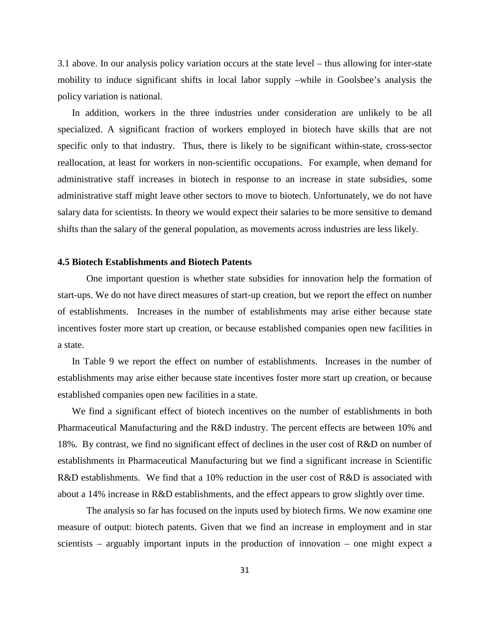3.1 above. In our analysis policy variation occurs at the state level – thus allowing for inter-state mobility to induce significant shifts in local labor supply –while in Goolsbee's analysis the policy variation is national.

In addition, workers in the three industries under consideration are unlikely to be all specialized. A significant fraction of workers employed in biotech have skills that are not specific only to that industry. Thus, there is likely to be significant within-state, cross-sector reallocation, at least for workers in non-scientific occupations. For example, when demand for administrative staff increases in biotech in response to an increase in state subsidies, some administrative staff might leave other sectors to move to biotech. Unfortunately, we do not have salary data for scientists. In theory we would expect their salaries to be more sensitive to demand shifts than the salary of the general population, as movements across industries are less likely.

#### **4.5 Biotech Establishments and Biotech Patents**

One important question is whether state subsidies for innovation help the formation of start-ups. We do not have direct measures of start-up creation, but we report the effect on number of establishments. Increases in the number of establishments may arise either because state incentives foster more start up creation, or because established companies open new facilities in a state.

In Table 9 we report the effect on number of establishments. Increases in the number of establishments may arise either because state incentives foster more start up creation, or because established companies open new facilities in a state.

We find a significant effect of biotech incentives on the number of establishments in both Pharmaceutical Manufacturing and the R&D industry. The percent effects are between 10% and 18%. By contrast, we find no significant effect of declines in the user cost of R&D on number of establishments in Pharmaceutical Manufacturing but we find a significant increase in Scientific R&D establishments. We find that a 10% reduction in the user cost of R&D is associated with about a 14% increase in R&D establishments, and the effect appears to grow slightly over time.

The analysis so far has focused on the inputs used by biotech firms. We now examine one measure of output: biotech patents. Given that we find an increase in employment and in star scientists – arguably important inputs in the production of innovation – one might expect a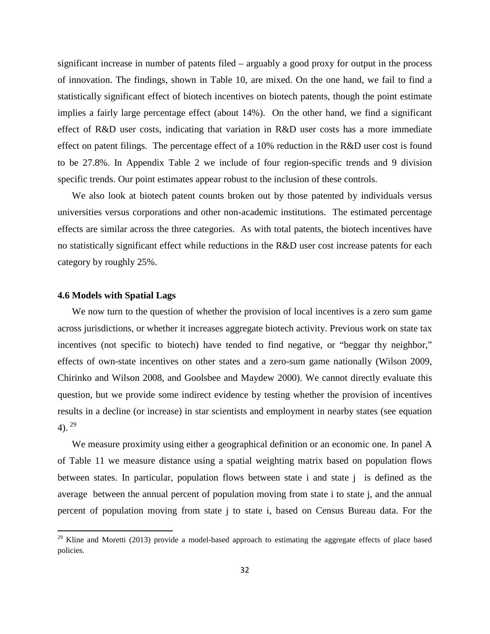significant increase in number of patents filed – arguably a good proxy for output in the process of innovation. The findings, shown in Table 10, are mixed. On the one hand, we fail to find a statistically significant effect of biotech incentives on biotech patents, though the point estimate implies a fairly large percentage effect (about 14%). On the other hand, we find a significant effect of R&D user costs, indicating that variation in R&D user costs has a more immediate effect on patent filings. The percentage effect of a 10% reduction in the R&D user cost is found to be 27.8%. In Appendix Table 2 we include of four region-specific trends and 9 division specific trends. Our point estimates appear robust to the inclusion of these controls.

We also look at biotech patent counts broken out by those patented by individuals versus universities versus corporations and other non-academic institutions. The estimated percentage effects are similar across the three categories. As with total patents, the biotech incentives have no statistically significant effect while reductions in the R&D user cost increase patents for each category by roughly 25%.

#### **4.6 Models with Spatial Lags**

 $\overline{\phantom{a}}$ 

We now turn to the question of whether the provision of local incentives is a zero sum game across jurisdictions, or whether it increases aggregate biotech activity. Previous work on state tax incentives (not specific to biotech) have tended to find negative, or "beggar thy neighbor," effects of own-state incentives on other states and a zero-sum game nationally (Wilson 2009, Chirinko and Wilson 2008, and Goolsbee and Maydew 2000). We cannot directly evaluate this question, but we provide some indirect evidence by testing whether the provision of incentives results in a decline (or increase) in star scientists and employment in nearby states (see equation 4). [29](#page-32-0)

We measure proximity using either a geographical definition or an economic one. In panel A of Table 11 we measure distance using a spatial weighting matrix based on population flows between states. In particular, population flows between state i and state j is defined as the average between the annual percent of population moving from state i to state j, and the annual percent of population moving from state j to state i, based on Census Bureau data. For the

<span id="page-32-0"></span><sup>&</sup>lt;sup>29</sup> Kline and Moretti (2013) provide a model-based approach to estimating the aggregate effects of place based policies.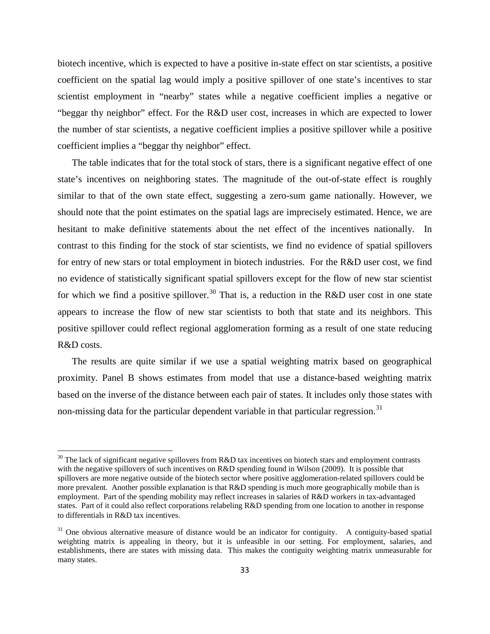biotech incentive, which is expected to have a positive in-state effect on star scientists, a positive coefficient on the spatial lag would imply a positive spillover of one state's incentives to star scientist employment in "nearby" states while a negative coefficient implies a negative or "beggar thy neighbor" effect. For the R&D user cost, increases in which are expected to lower the number of star scientists, a negative coefficient implies a positive spillover while a positive coefficient implies a "beggar thy neighbor" effect.

The table indicates that for the total stock of stars, there is a significant negative effect of one state's incentives on neighboring states. The magnitude of the out-of-state effect is roughly similar to that of the own state effect, suggesting a zero-sum game nationally. However, we should note that the point estimates on the spatial lags are imprecisely estimated. Hence, we are hesitant to make definitive statements about the net effect of the incentives nationally. In contrast to this finding for the stock of star scientists, we find no evidence of spatial spillovers for entry of new stars or total employment in biotech industries. For the R&D user cost, we find no evidence of statistically significant spatial spillovers except for the flow of new star scientist for which we find a positive spillover.<sup>[30](#page-33-0)</sup> That is, a reduction in the R&D user cost in one state appears to increase the flow of new star scientists to both that state and its neighbors. This positive spillover could reflect regional agglomeration forming as a result of one state reducing R&D costs.

The results are quite similar if we use a spatial weighting matrix based on geographical proximity. Panel B shows estimates from model that use a distance-based weighting matrix based on the inverse of the distance between each pair of states. It includes only those states with non-missing data for the particular dependent variable in that particular regression.<sup>[31](#page-33-1)</sup>

<span id="page-33-0"></span> $30$  The lack of significant negative spillovers from R&D tax incentives on biotech stars and employment contrasts with the negative spillovers of such incentives on R&D spending found in Wilson (2009). It is possible that spillovers are more negative outside of the biotech sector where positive agglomeration-related spillovers could be more prevalent. Another possible explanation is that R&D spending is much more geographically mobile than is employment. Part of the spending mobility may reflect increases in salaries of R&D workers in tax-advantaged states. Part of it could also reflect corporations relabeling R&D spending from one location to another in response to differentials in R&D tax incentives.

<span id="page-33-1"></span> $31$  One obvious alternative measure of distance would be an indicator for contiguity. A contiguity-based spatial weighting matrix is appealing in theory, but it is unfeasible in our setting. For employment, salaries, and establishments, there are states with missing data. This makes the contiguity weighting matrix unmeasurable for many states.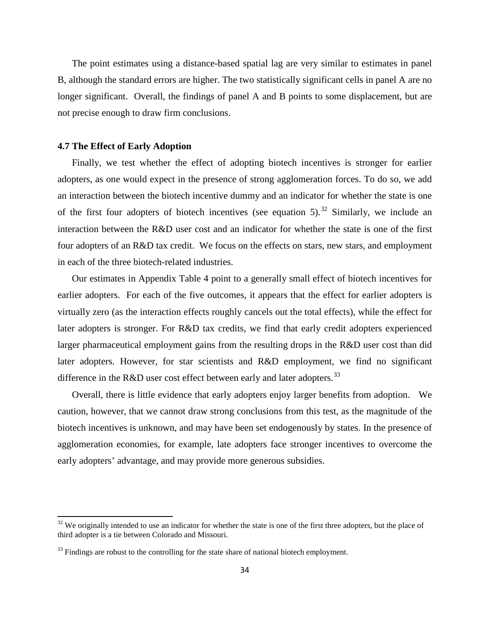The point estimates using a distance-based spatial lag are very similar to estimates in panel B, although the standard errors are higher. The two statistically significant cells in panel A are no longer significant. Overall, the findings of panel A and B points to some displacement, but are not precise enough to draw firm conclusions.

#### **4.7 The Effect of Early Adoption**

Finally, we test whether the effect of adopting biotech incentives is stronger for earlier adopters, as one would expect in the presence of strong agglomeration forces. To do so, we add an interaction between the biotech incentive dummy and an indicator for whether the state is one of the first four adopters of biotech incentives (see equation 5).<sup>[32](#page-34-0)</sup> Similarly, we include an interaction between the R&D user cost and an indicator for whether the state is one of the first four adopters of an R&D tax credit. We focus on the effects on stars, new stars, and employment in each of the three biotech-related industries.

Our estimates in Appendix Table 4 point to a generally small effect of biotech incentives for earlier adopters. For each of the five outcomes, it appears that the effect for earlier adopters is virtually zero (as the interaction effects roughly cancels out the total effects), while the effect for later adopters is stronger. For R&D tax credits, we find that early credit adopters experienced larger pharmaceutical employment gains from the resulting drops in the R&D user cost than did later adopters. However, for star scientists and R&D employment, we find no significant difference in the R&D user cost effect between early and later adopters.<sup>[33](#page-34-1)</sup>

Overall, there is little evidence that early adopters enjoy larger benefits from adoption. We caution, however, that we cannot draw strong conclusions from this test, as the magnitude of the biotech incentives is unknown, and may have been set endogenously by states. In the presence of agglomeration economies, for example, late adopters face stronger incentives to overcome the early adopters' advantage, and may provide more generous subsidies.

<span id="page-34-0"></span><sup>&</sup>lt;sup>32</sup> We originally intended to use an indicator for whether the state is one of the first three adopters, but the place of third adopter is a tie between Colorado and Missouri.

<span id="page-34-1"></span> $33$  Findings are robust to the controlling for the state share of national biotech employment.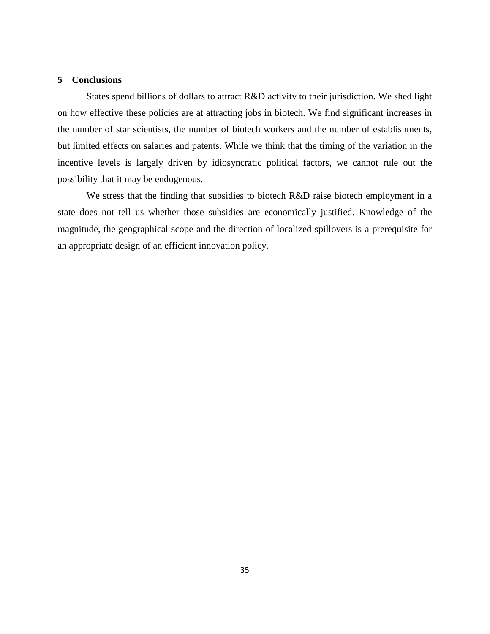### **5 Conclusions**

States spend billions of dollars to attract R&D activity to their jurisdiction. We shed light on how effective these policies are at attracting jobs in biotech. We find significant increases in the number of star scientists, the number of biotech workers and the number of establishments, but limited effects on salaries and patents. While we think that the timing of the variation in the incentive levels is largely driven by idiosyncratic political factors, we cannot rule out the possibility that it may be endogenous.

We stress that the finding that subsidies to biotech R&D raise biotech employment in a state does not tell us whether those subsidies are economically justified. Knowledge of the magnitude, the geographical scope and the direction of localized spillovers is a prerequisite for an appropriate design of an efficient innovation policy.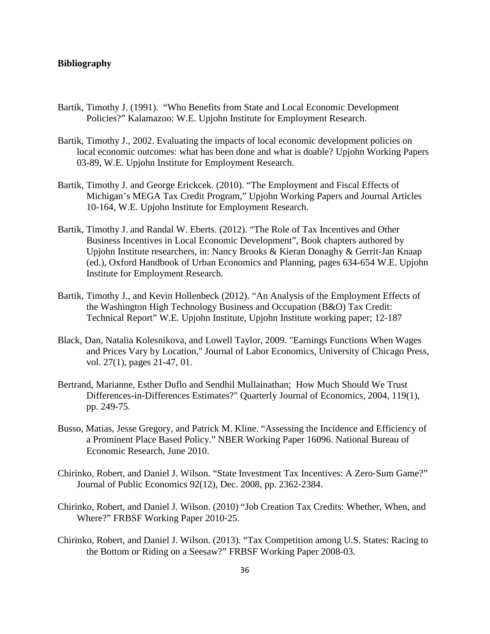### **Bibliography**

- Bartik, Timothy J. (1991). "Who Benefits from State and Local Economic Development Policies?" Kalamazoo: W.E. Upjohn Institute for Employment Research.
- Bartik, Timothy J., 2002. Evaluating the impacts of local economic development policies on local economic outcomes: what has been done and what is doable? Upjohn Working Papers 03-89, W.E. Upjohn Institute for Employment Research.
- Bartik, Timothy J. and George Erickcek. (2010). "The Employment and Fiscal Effects of Michigan's MEGA Tax Credit Program," Upjohn Working Papers and Journal Articles 10-164, W.E. Upjohn Institute for Employment Research.
- Bartik, Timothy J. and Randal W. Eberts. (2012). "The Role of Tax Incentives and Other Business Incentives in Local Economic Development", Book chapters authored by Upjohn Institute researchers, in: Nancy Brooks & Kieran Donaghy & Gerrit-Jan Knaap (ed.), Oxford Handbook of Urban Economics and Planning, pages 634-654 W.E. Upjohn Institute for Employment Research.
- Bartik, Timothy J., and Kevin Hollenbeck (2012). "An Analysis of the Employment Effects of the Washington High Technology Business and Occupation (B&O) Tax Credit: Technical Report" W.E. Upjohn Institute, Upjohn Institute working paper; 12-187
- Black, Dan, Natalia Kolesnikova, and Lowell Taylor, 2009. "Earnings Functions When Wages and Prices Vary by Location," Journal of Labor Economics, University of Chicago Press, vol. 27(1), pages 21-47, 01.
- Bertrand, Marianne, Esther Duflo and Sendhil Mullainathan; How Much Should We Trust Differences-in-Differences Estimates?" Quarterly Journal of Economics, 2004, 119(1), pp. 249-75.
- Busso, Matias, Jesse Gregory, and Patrick M. Kline. "Assessing the Incidence and Efficiency of a Prominent Place Based Policy." NBER Working Paper 16096. National Bureau of Economic Research, June 2010.
- Chirinko, Robert, and Daniel J. Wilson. "State Investment Tax Incentives: A Zero‐Sum Game?" Journal of Public Economics 92(12), Dec. 2008, pp. 2362‐2384.
- Chirinko, Robert, and Daniel J. Wilson. (2010) "Job Creation Tax Credits: Whether, When, and Where?" FRBSF Working Paper 2010‐25.
- Chirinko, Robert, and Daniel J. Wilson. (2013). "Tax Competition among U.S. States: Racing to the Bottom or Riding on a Seesaw?" FRBSF Working Paper 2008-03.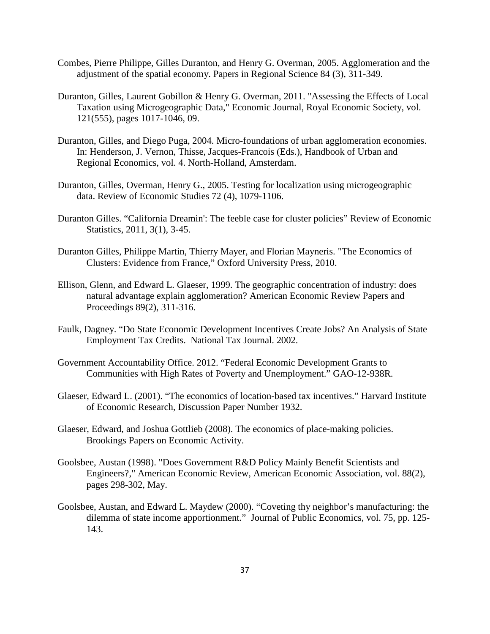- Combes, Pierre Philippe, Gilles Duranton, and Henry G. Overman, 2005. Agglomeration and the adjustment of the spatial economy. Papers in Regional Science 84 (3), 311-349.
- Duranton, Gilles, Laurent Gobillon & Henry G. Overman, 2011. "Assessing the Effects of Local Taxation using Microgeographic Data," Economic Journal, Royal Economic Society, vol. 121(555), pages 1017-1046, 09.
- Duranton, Gilles, and Diego Puga, 2004. Micro-foundations of urban agglomeration economies. In: Henderson, J. Vernon, Thisse, Jacques-Francois (Eds.), Handbook of Urban and Regional Economics, vol. 4. North-Holland, Amsterdam.
- Duranton, Gilles, Overman, Henry G., 2005. Testing for localization using microgeographic data. Review of Economic Studies 72 (4), 1079-1106.
- Duranton Gilles. "California Dreamin': The feeble case for cluster policies" Review of Economic Statistics, 2011, 3(1), 3-45.
- Duranton Gilles, Philippe Martin, Thierry Mayer, and Florian Mayneris. "The Economics of Clusters: Evidence from France," Oxford University Press, 2010.
- Ellison, Glenn, and Edward L. Glaeser, 1999. The geographic concentration of industry: does natural advantage explain agglomeration? American Economic Review Papers and Proceedings 89(2), 311-316.
- Faulk, Dagney. "Do State Economic Development Incentives Create Jobs? An Analysis of State Employment Tax Credits. National Tax Journal. 2002.
- Government Accountability Office. 2012. "Federal Economic Development Grants to Communities with High Rates of Poverty and Unemployment." GAO-12-938R.
- Glaeser, Edward L. (2001). "The economics of location-based tax incentives." Harvard Institute of Economic Research, Discussion Paper Number 1932.
- Glaeser, Edward, and Joshua Gottlieb (2008). The economics of place-making policies. Brookings Papers on Economic Activity.
- Goolsbee, Austan (1998). "Does Government R&D Policy Mainly Benefit Scientists and Engineers?," American Economic Review, American Economic Association, vol. 88(2), pages 298-302, May.
- Goolsbee, Austan, and Edward L. Maydew (2000). "Coveting thy neighbor's manufacturing: the dilemma of state income apportionment." Journal of Public Economics, vol. 75, pp. 125- 143.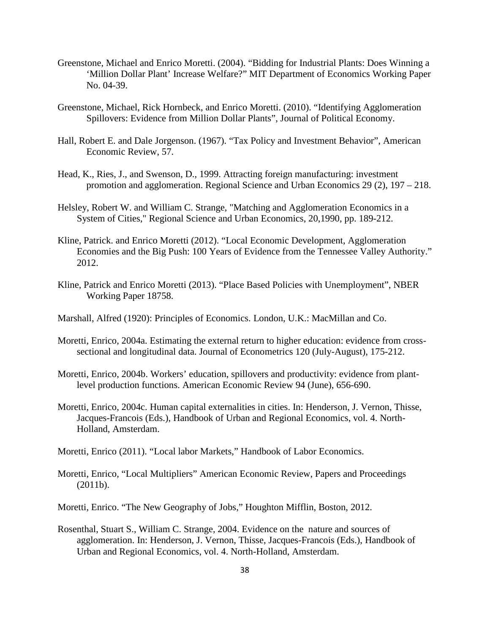- Greenstone, Michael and Enrico Moretti. (2004). "Bidding for Industrial Plants: Does Winning a 'Million Dollar Plant' Increase Welfare?" MIT Department of Economics Working Paper No. 04-39.
- Greenstone, Michael, Rick Hornbeck, and Enrico Moretti. (2010). "Identifying Agglomeration Spillovers: Evidence from Million Dollar Plants", Journal of Political Economy.
- Hall, Robert E. and Dale Jorgenson. (1967). "Tax Policy and Investment Behavior", American Economic Review, 57.
- Head, K., Ries, J., and Swenson, D., 1999. Attracting foreign manufacturing: investment promotion and agglomeration. Regional Science and Urban Economics 29 (2), 197 – 218.
- Helsley, Robert W. and William C. Strange, "Matching and Agglomeration Economics in a System of Cities," Regional Science and Urban Economics, 20,1990, pp. 189-212.
- Kline, Patrick. and Enrico Moretti (2012). "Local Economic Development, Agglomeration Economies and the Big Push: 100 Years of Evidence from the Tennessee Valley Authority." 2012.
- Kline, Patrick and Enrico Moretti (2013). "Place Based Policies with Unemployment", NBER Working Paper 18758.
- Marshall, Alfred (1920): Principles of Economics. London, U.K.: MacMillan and Co.
- Moretti, Enrico, 2004a. Estimating the external return to higher education: evidence from crosssectional and longitudinal data. Journal of Econometrics 120 (July-August), 175-212.
- Moretti, Enrico, 2004b. Workers' education, spillovers and productivity: evidence from plantlevel production functions. American Economic Review 94 (June), 656-690.
- Moretti, Enrico, 2004c. Human capital externalities in cities. In: Henderson, J. Vernon, Thisse, Jacques-Francois (Eds.), Handbook of Urban and Regional Economics, vol. 4. North-Holland, Amsterdam.
- Moretti, Enrico (2011). "Local labor Markets," Handbook of Labor Economics.
- Moretti, Enrico, "Local Multipliers" American Economic Review, Papers and Proceedings (2011b).
- Moretti, Enrico. "The New Geography of Jobs," Houghton Mifflin, Boston, 2012.
- Rosenthal, Stuart S., William C. Strange, 2004. Evidence on the nature and sources of agglomeration. In: Henderson, J. Vernon, Thisse, Jacques-Francois (Eds.), Handbook of Urban and Regional Economics, vol. 4. North-Holland, Amsterdam.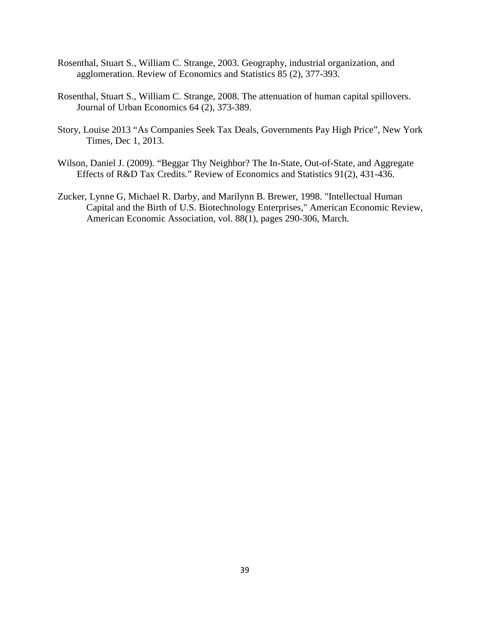- Rosenthal, Stuart S., William C. Strange, 2003. Geography, industrial organization, and agglomeration. Review of Economics and Statistics 85 (2), 377-393.
- Rosenthal, Stuart S., William C. Strange, 2008. The attenuation of human capital spillovers. Journal of Urban Economics 64 (2), 373-389.
- Story, Louise 2013 "As Companies Seek Tax Deals, Governments Pay High Price", New York Times, Dec 1, 2013.
- Wilson, Daniel J. (2009). "Beggar Thy Neighbor? The In-State, Out-of-State, and Aggregate Effects of R&D Tax Credits." Review of Economics and Statistics 91(2), 431-436.
- Zucker, Lynne G, Michael R. Darby, and Marilynn B. Brewer, 1998. "Intellectual Human Capital and the Birth of U.S. Biotechnology Enterprises," American Economic Review, American Economic Association, vol. 88(1), pages 290-306, March.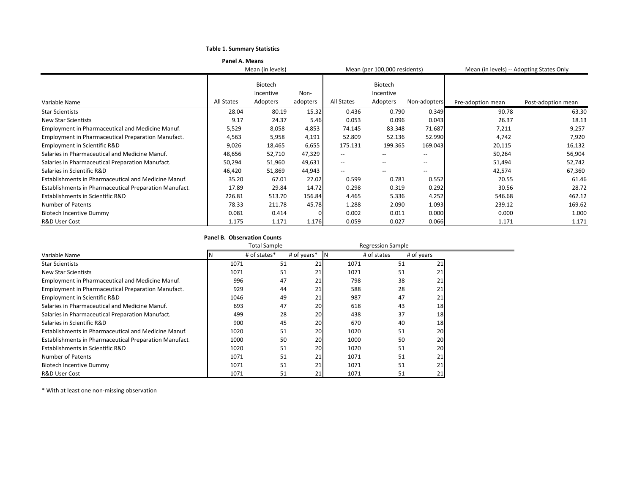#### **Table 1. Summary Statistics**

#### **Panel A. Means**

| Mean (in levels)                                       |            |                                  |                  |                     | Mean (per 100,000 residents)     |                                       | Mean (in levels) -- Adopting States Only |                    |  |  |
|--------------------------------------------------------|------------|----------------------------------|------------------|---------------------|----------------------------------|---------------------------------------|------------------------------------------|--------------------|--|--|
| Variable Name                                          | All States | Biotech<br>Incentive<br>Adopters | Non-<br>adopters | All States          | Biotech<br>Incentive<br>Adopters | Non-adopters                          | Pre-adoption mean                        | Post-adoption mean |  |  |
| <b>Star Scientists</b>                                 | 28.04      | 80.19                            | 15.32            | 0.436               | 0.790                            | 0.349                                 | 90.78                                    | 63.30              |  |  |
| <b>New Star Scientists</b>                             | 9.17       | 24.37                            | 5.46             | 0.053               | 0.096                            | 0.043                                 | 26.37                                    | 18.13              |  |  |
| Employment in Pharmaceutical and Medicine Manuf.       | 5,529      | 8,058                            | 4,853            | 74.145              | 83.348                           | 71.687                                | 7,211                                    | 9,257              |  |  |
| Employment in Pharmaceutical Preparation Manufact.     | 4,563      | 5,958                            | 4,191            | 52.809              | 52.136                           | 52.990                                | 4,742                                    | 7,920              |  |  |
| Employment in Scientific R&D                           | 9,026      | 18,465                           | 6,655            | 175.131             | 199.365                          | 169.043                               | 20,115                                   | 16,132             |  |  |
| Salaries in Pharmaceutical and Medicine Manuf.         | 48,656     | 52,710                           | 47,329           |                     |                                  | --                                    | 50,264                                   | 56,904             |  |  |
| Salaries in Pharmaceutical Preparation Manufact.       | 50,294     | 51,960                           | 49,631           | $\hspace{0.05cm} -$ | $\qquad \qquad -$                | $\hspace{0.05cm}$ – $\hspace{0.05cm}$ | 51,494                                   | 52,742             |  |  |
| Salaries in Scientific R&D                             | 46,420     | 51,869                           | 44,943           | --                  | --                               | $\overline{\phantom{a}}$              | 42,574                                   | 67,360             |  |  |
| Establishments in Pharmaceutical and Medicine Manuf.   | 35.20      | 67.01                            | 27.02            | 0.599               | 0.781                            | 0.552                                 | 70.55                                    | 61.46              |  |  |
| Establishments in Pharmaceutical Preparation Manufact. | 17.89      | 29.84                            | 14.72            | 0.298               | 0.319                            | 0.292                                 | 30.56                                    | 28.72              |  |  |
| Establishments in Scientific R&D                       | 226.81     | 513.70                           | 156.84           | 4.465               | 5.336                            | 4.252                                 | 546.68                                   | 462.12             |  |  |
| Number of Patents                                      | 78.33      | 211.78                           | 45.78            | 1.288               | 2.090                            | 1.093                                 | 239.12                                   | 169.62             |  |  |
| Biotech Incentive Dummy                                | 0.081      | 0.414                            |                  | 0.002               | 0.011                            | 0.000                                 | 0.000                                    | 1.000              |  |  |
| R&D User Cost                                          | 1.175      | 1.171                            | 1.176            | 0.059               | 0.027                            | 0.066                                 | 1.171                                    | 1.171              |  |  |

#### **Panel B. Observation Counts**

|                                                        | <b>Total Sample</b><br><b>Regression Sample</b> |              |             |      |             |            |
|--------------------------------------------------------|-------------------------------------------------|--------------|-------------|------|-------------|------------|
| Variable Name                                          |                                                 | # of states* | # of years* |      | # of states | # of years |
| <b>Star Scientists</b>                                 | 1071                                            | 51           | 21          | 1071 | 51          | 21         |
| <b>New Star Scientists</b>                             | 1071                                            | 51           | 21          | 1071 | 51          | 21         |
| Employment in Pharmaceutical and Medicine Manuf.       | 996                                             | 47           | 21          | 798  | 38          | 21         |
| Employment in Pharmaceutical Preparation Manufact.     | 929                                             | 44           | 21          | 588  | 28          | 21         |
| Employment in Scientific R&D                           | 1046                                            | 49           | 21          | 987  | 47          | 21         |
| Salaries in Pharmaceutical and Medicine Manuf.         | 693                                             | 47           | 20          | 618  | 43          | 18         |
| Salaries in Pharmaceutical Preparation Manufact.       | 499                                             | 28           | 20          | 438  | 37          | 18         |
| Salaries in Scientific R&D                             | 900                                             | 45           | 20          | 670  | 40          | <b>18</b>  |
| Establishments in Pharmaceutical and Medicine Manuf.   | 1020                                            | 51           | 20          | 1020 | 51          | <b>20</b>  |
| Establishments in Pharmaceutical Preparation Manufact. | 1000                                            | 50           | 20          | 1000 | 50          | 20         |
| Establishments in Scientific R&D                       | 1020                                            | 51           | 20          | 1020 | 51          | <b>20</b>  |
| Number of Patents                                      | 1071                                            | 51           | 21          | 1071 | 51          | 21         |
| <b>Biotech Incentive Dummy</b>                         | 1071                                            | 51           | 21          | 1071 | 51          | 21         |
| <b>R&amp;D User Cost</b>                               | 1071                                            | 51           | 21          | 1071 | 51          | 21         |

\* With at least one non‐missing observation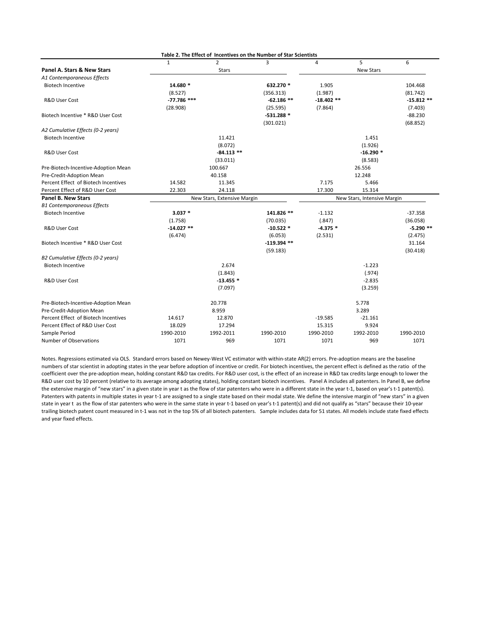|                                      |              | Table 2. The Effect of Incentives on the Number of Star Scientists |               |                  |                             |             |  |
|--------------------------------------|--------------|--------------------------------------------------------------------|---------------|------------------|-----------------------------|-------------|--|
|                                      | $\mathbf{1}$ | $\overline{2}$                                                     | 3             | 4                | 5                           | 6           |  |
| Panel A. Stars & New Stars           |              | <b>Stars</b>                                                       |               | <b>New Stars</b> |                             |             |  |
| A1 Contemporaneous Effects           |              |                                                                    |               |                  |                             |             |  |
| <b>Biotech Incentive</b>             | 14.680 *     |                                                                    | 632.270 *     | 1.905            |                             | 104.468     |  |
|                                      | (8.527)      |                                                                    | (356.313)     | (1.987)          |                             | (81.742)    |  |
| R&D User Cost                        | -77.786 ***  |                                                                    | $-62.186**$   | $-18.402**$      |                             | $-15.812**$ |  |
|                                      | (28.908)     |                                                                    | (25.595)      | (7.864)          |                             | (7.403)     |  |
| Biotech Incentive * R&D User Cost    |              |                                                                    | $-531.288*$   |                  |                             | $-88.230$   |  |
|                                      |              |                                                                    | (301.021)     |                  |                             | (68.852)    |  |
| A2 Cumulative Effects (0-2 years)    |              |                                                                    |               |                  |                             |             |  |
| <b>Biotech Incentive</b>             |              | 11.421                                                             |               |                  | 1.451                       |             |  |
|                                      |              | (8.072)                                                            |               |                  | (1.926)                     |             |  |
| R&D User Cost                        |              | $-84.113**$                                                        |               |                  | $-16.290*$                  |             |  |
|                                      |              | (33.011)                                                           |               |                  | (8.583)                     |             |  |
| Pre-Biotech-Incentive-Adoption Mean  |              | 100.667                                                            |               |                  | 26.556                      |             |  |
| Pre-Credit-Adoption Mean             |              | 40.158                                                             |               |                  | 12.248                      |             |  |
| Percent Effect of Biotech Incentives | 14.582       | 11.345                                                             |               | 7.175            | 5.466                       |             |  |
| Percent Effect of R&D User Cost      | 22.303       | 24.118                                                             |               | 17.300           | 15.314                      |             |  |
| <b>Panel B. New Stars</b>            |              | New Stars, Extensive Margin                                        |               |                  | New Stars, Intensive Margin |             |  |
| <b>B1 Contemporaneous Effects</b>    |              |                                                                    |               |                  |                             |             |  |
| <b>Biotech Incentive</b>             | $3.037*$     |                                                                    | 141.826 **    | $-1.132$         |                             | $-37.358$   |  |
|                                      | (1.758)      |                                                                    | (70.035)      | (.847)           |                             | (36.058)    |  |
| R&D User Cost                        | $-14.027$ ** |                                                                    | $-10.522$ *   | $-4.375*$        |                             | $-5.290$ ** |  |
|                                      | (6.474)      |                                                                    | (6.053)       | (2.531)          |                             | (2.475)     |  |
| Biotech Incentive * R&D User Cost    |              |                                                                    | $-119.394$ ** |                  |                             | 31.164      |  |
|                                      |              |                                                                    | (59.183)      |                  |                             | (30.418)    |  |
| B2 Cumulative Effects (0-2 years)    |              |                                                                    |               |                  |                             |             |  |
| <b>Biotech Incentive</b>             |              | 2.674                                                              |               |                  | $-1.223$                    |             |  |
|                                      |              | (1.843)                                                            |               |                  | (.974)                      |             |  |
| R&D User Cost                        |              | $-13.455$ *                                                        |               |                  | $-2.835$                    |             |  |
|                                      |              | (7.097)                                                            |               |                  | (3.259)                     |             |  |
| Pre-Biotech-Incentive-Adoption Mean  |              | 20.778                                                             |               |                  | 5.778                       |             |  |
| Pre-Credit-Adoption Mean             |              | 8.959                                                              |               |                  | 3.289                       |             |  |
| Percent Effect of Biotech Incentives | 14.617       | 12.870                                                             |               | $-19.585$        | $-21.161$                   |             |  |
| Percent Effect of R&D User Cost      | 18.029       | 17.294                                                             |               | 15.315           | 9.924                       |             |  |
| Sample Period                        | 1990-2010    | 1992-2011                                                          | 1990-2010     | 1990-2010        | 1992-2010                   | 1990-2010   |  |
| Number of Observations               | 1071         | 969                                                                | 1071          | 1071             | 969                         | 1071        |  |

Notes. Regressions estimated via OLS. Standard errors based on Newey-West VC estimator with within-state AR(2) errors. Pre-adoption means are the baseline numbers of star scientist in adopting states in the year before adoption of incentive or credit. For biotech incentives, the percent effect is defined as the ratio of the coefficient over the pre-adoption mean, holding constant R&D tax credits. For R&D user cost, is the effect of an increase in R&D tax credits large enough to lower the R&D user cost by 10 percent (relative to its average among adopting states), holding constant biotech incentives. Panel A includes all patenters. In Panel B, we define the extensive margin of "new stars" in a given state in year t as the flow of star patenters who were in a different state in the year t-1, based on year's t-1 patent(s). Patenters with patents in multiple states in year t-1 are assigned to a single state based on their modal state. We define the intensive margin of "new stars" in a given state in year t as the flow of star patenters who were in the same state in year t-1 based on year's t-1 patent(s) and did not qualify as "stars" because their 10-year trailing biotech patent count measured in t‐1 was not in the top 5% of all biotech patenters. Sample includes data for 51 states. All models include state fixed effects and year fixed effects.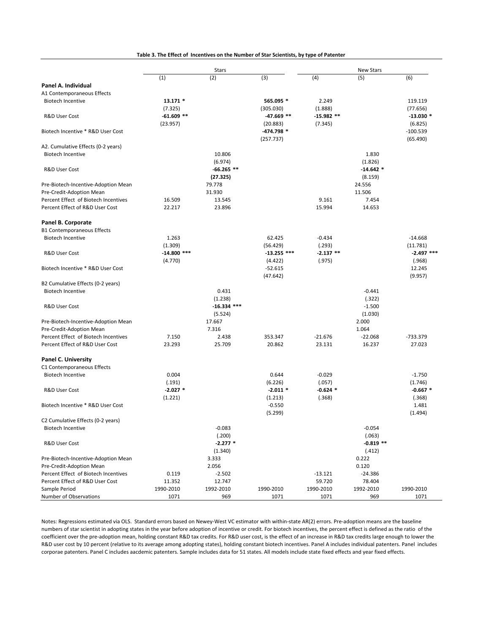|                                                               |                          | <b>Stars</b>             |                          | New Stars              |                       |                        |  |
|---------------------------------------------------------------|--------------------------|--------------------------|--------------------------|------------------------|-----------------------|------------------------|--|
|                                                               | (1)                      | (2)                      | (3)                      | (4)                    | (5)                   | (6)                    |  |
| Panel A. Individual                                           |                          |                          |                          |                        |                       |                        |  |
| A1 Contemporaneous Effects                                    |                          |                          |                          |                        |                       |                        |  |
| <b>Biotech Incentive</b>                                      | 13.171 *<br>(7.325)      |                          | 565.095 *<br>(305.030)   | 2.249<br>(1.888)       |                       | 119.119<br>(77.656)    |  |
| R&D User Cost                                                 | $-61.609$ **<br>(23.957) |                          | -47.669 **<br>(20.883)   | $-15.982**$<br>(7.345) |                       | $-13.030*$<br>(6.825)  |  |
| Biotech Incentive * R&D User Cost                             |                          |                          | $-474.798*$<br>(257.737) |                        |                       | $-100.539$<br>(65.490) |  |
| A2. Cumulative Effects (0-2 years)                            |                          |                          |                          |                        |                       |                        |  |
| <b>Biotech Incentive</b>                                      |                          | 10.806<br>(6.974)        |                          |                        | 1.830<br>(1.826)      |                        |  |
| R&D User Cost                                                 |                          | $-66.265$ **<br>(27.325) |                          |                        | $-14.642*$<br>(8.159) |                        |  |
| Pre-Biotech-Incentive-Adoption Mean                           |                          | 79.778                   |                          |                        | 24.556                |                        |  |
| Pre-Credit-Adoption Mean                                      |                          | 31.930                   |                          |                        | 11.506                |                        |  |
| Percent Effect of Biotech Incentives                          | 16.509                   | 13.545                   |                          | 9.161                  | 7.454                 |                        |  |
| Percent Effect of R&D User Cost                               | 22.217                   | 23.896                   |                          | 15.994                 | 14.653                |                        |  |
| Panel B. Corporate                                            |                          |                          |                          |                        |                       |                        |  |
| <b>B1 Contemporaneous Effects</b><br><b>Biotech Incentive</b> |                          |                          |                          |                        |                       |                        |  |
|                                                               | 1.263                    |                          | 62.425                   | $-0.434$               |                       | $-14.668$              |  |
|                                                               | (1.309)                  |                          | (56.429)                 | (.293)                 |                       | (11.781)               |  |
| <b>R&amp;D User Cost</b>                                      | $-14.800$ ***            |                          | $-13.255$ ***            | $-2.137**$             |                       | $-2.497$ ***           |  |
|                                                               | (4.770)                  |                          | (4.422)                  | (.975)                 |                       | (.968)                 |  |
| Biotech Incentive * R&D User Cost                             |                          |                          | $-52.615$<br>(47.642)    |                        |                       | 12.245<br>(9.957)      |  |
| B2 Cumulative Effects (0-2 years)                             |                          |                          |                          |                        |                       |                        |  |
| <b>Biotech Incentive</b>                                      |                          | 0.431<br>(1.238)         |                          |                        | $-0.441$<br>(.322)    |                        |  |
| R&D User Cost                                                 |                          | $-16.334$ ***<br>(5.524) |                          |                        | $-1.500$<br>(1.030)   |                        |  |
| Pre-Biotech-Incentive-Adoption Mean                           |                          | 17.667                   |                          |                        | 2.000                 |                        |  |
| Pre-Credit-Adoption Mean                                      |                          | 7.316                    |                          |                        | 1.064                 |                        |  |
| Percent Effect of Biotech Incentives                          | 7.150                    | 2.438                    | 353.347                  | $-21.676$              | $-22.068$             | $-733.379$             |  |
| Percent Effect of R&D User Cost                               | 23.293                   | 25.709                   | 20.862                   | 23.131                 | 16.237                | 27.023                 |  |
| <b>Panel C. University</b>                                    |                          |                          |                          |                        |                       |                        |  |
| C1 Contemporaneous Effects                                    |                          |                          |                          |                        |                       |                        |  |
| <b>Biotech Incentive</b>                                      | 0.004                    |                          | 0.644                    | $-0.029$               |                       | $-1.750$               |  |
|                                                               | (.191)                   |                          | (6.226)                  | (.057)                 |                       | (1.746)                |  |
| <b>R&amp;D User Cost</b>                                      | $-2.027$ *               |                          | $-2.011*$                | $-0.624$ *             |                       | $-0.667*$              |  |
|                                                               | (1.221)                  |                          | (1.213)                  | (.368)                 |                       | (.368)                 |  |
| Biotech Incentive * R&D User Cost                             |                          |                          | $-0.550$<br>(5.299)      |                        |                       | 1.481<br>(1.494)       |  |
| C2 Cumulative Effects (0-2 years)                             |                          |                          |                          |                        |                       |                        |  |
| <b>Biotech Incentive</b>                                      |                          | $-0.083$                 |                          |                        | $-0.054$              |                        |  |
| R&D User Cost                                                 |                          | (.200)<br>$-2.277*$      |                          |                        | (.063)<br>$-0.819**$  |                        |  |
|                                                               |                          | (1.340)                  |                          |                        | (.412)                |                        |  |
| Pre-Biotech-Incentive-Adoption Mean                           |                          | 3.333                    |                          |                        | 0.222                 |                        |  |
| Pre-Credit-Adoption Mean                                      |                          | 2.056                    |                          |                        | 0.120                 |                        |  |
| Percent Effect of Biotech Incentives                          | 0.119                    | $-2.502$                 |                          | $-13.121$              | $-24.386$             |                        |  |
| Percent Effect of R&D User Cost                               | 11.352                   |                          |                          |                        |                       |                        |  |
| Sample Period                                                 | 1990-2010                | 12.747                   |                          | 59.720<br>1990-2010    | 78.404<br>1992-2010   |                        |  |
|                                                               |                          | 1992-2010                | 1990-2010                |                        |                       | 1990-2010              |  |
| Number of Observations                                        | 1071                     | 969                      | 1071                     | 1071                   | 969                   | 1071                   |  |

Notes: Regressions estimated via OLS. Standard errors based on Newey-West VC estimator with within-state AR(2) errors. Pre-adoption means are the baseline numbers of star scientist in adopting states in the year before adoption of incentive or credit. For biotech incentives, the percent effect is defined as the ratio of the coefficient over the pre-adoption mean, holding constant R&D tax credits. For R&D user cost, is the effect of an increase in R&D tax credits large enough to lower the R&D user cost by 10 percent (relative to its average among adopting states), holding constant biotech incentives. Panel A includes individual patenters. Panel includes corporae patenters. Panel C includes aacdemic patenters. Sample includes data for 51 states. All models include state fixed effects and year fixed effects.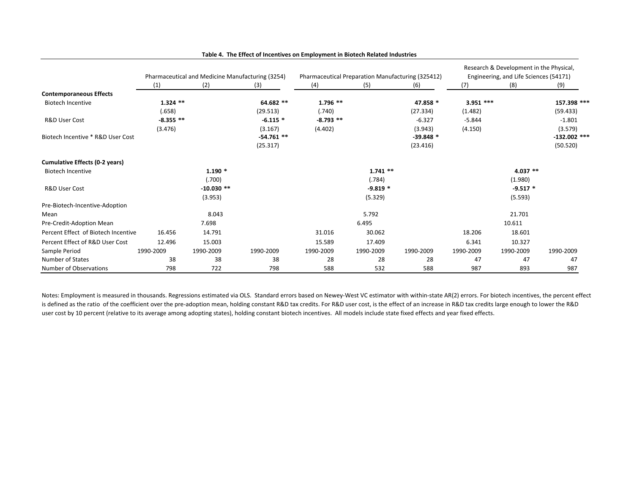|                                       |             | Pharmaceutical and Medicine Manufacturing (3254) |              |             | Pharmaceutical Preparation Manufacturing (325412) |            |             | Research & Development in the Physical,<br>Engineering, and Life Sciences (54171) |                |  |
|---------------------------------------|-------------|--------------------------------------------------|--------------|-------------|---------------------------------------------------|------------|-------------|-----------------------------------------------------------------------------------|----------------|--|
|                                       | (1)         | (2)                                              | (3)          | (4)         | (5)                                               | (6)        | (7)         | (8)                                                                               | (9)            |  |
| <b>Contemporaneous Effects</b>        |             |                                                  |              |             |                                                   |            |             |                                                                                   |                |  |
| <b>Biotech Incentive</b>              | $1.324$ **  |                                                  | 64.682 **    | $1.796$ **  |                                                   | 47.858 *   | $3.951$ *** |                                                                                   | 157.398 ***    |  |
|                                       | (.658)      |                                                  | (29.513)     | (.740)      |                                                   | (27.334)   | (1.482)     |                                                                                   | (59.433)       |  |
| R&D User Cost                         | $-8.355$ ** |                                                  | $-6.115$ *   | $-8.793$ ** |                                                   | $-6.327$   | $-5.844$    |                                                                                   | $-1.801$       |  |
|                                       | (3.476)     |                                                  | (3.167)      | (4.402)     |                                                   | (3.943)    | (4.150)     |                                                                                   | (3.579)        |  |
| Biotech Incentive * R&D User Cost     |             |                                                  | $-54.761$ ** |             |                                                   | $-39.848*$ |             |                                                                                   | $-132.002$ *** |  |
|                                       |             |                                                  | (25.317)     |             |                                                   | (23.416)   |             |                                                                                   | (50.520)       |  |
| <b>Cumulative Effects (0-2 years)</b> |             |                                                  |              |             |                                                   |            |             |                                                                                   |                |  |
| <b>Biotech Incentive</b>              |             | $1.190*$                                         |              |             | $1.741$ **                                        |            |             | $4.037**$                                                                         |                |  |
|                                       |             | (.700)                                           |              |             | (.784)                                            |            |             | (1.980)                                                                           |                |  |
| <b>R&amp;D User Cost</b>              |             | $-10.030$ **                                     |              |             | $-9.819*$                                         |            |             | $-9.517*$                                                                         |                |  |
|                                       |             | (3.953)                                          |              |             | (5.329)                                           |            |             | (5.593)                                                                           |                |  |
| Pre-Biotech-Incentive-Adoption        |             |                                                  |              |             |                                                   |            |             |                                                                                   |                |  |
| Mean                                  |             | 8.043                                            |              |             | 5.792                                             |            |             | 21.701                                                                            |                |  |
| Pre-Credit-Adoption Mean              |             | 7.698                                            |              |             | 6.495                                             |            |             | 10.611                                                                            |                |  |
| Percent Effect of Biotech Incentive   | 16.456      | 14.791                                           |              | 31.016      | 30.062                                            |            | 18.206      | 18.601                                                                            |                |  |
| Percent Effect of R&D User Cost       | 12.496      | 15.003                                           |              | 15.589      | 17.409                                            |            | 6.341       | 10.327                                                                            |                |  |
| Sample Period                         | 1990-2009   | 1990-2009                                        | 1990-2009    | 1990-2009   | 1990-2009                                         | 1990-2009  | 1990-2009   | 1990-2009                                                                         | 1990-2009      |  |
| Number of States                      | 38          | 38                                               | 38           | 28          | 28                                                | 28         | 47          | 47                                                                                | 47             |  |
| Number of Observations                | 798         | 722                                              | 798          | 588         | 532                                               | 588        | 987         | 893                                                                               | 987            |  |

#### **Table 4. The Effect of Incentives on Employment in Biotech Related Industries**

Notes: Employment is measured in thousands. Regressions estimated via OLS. Standard errors based on Newey‐West VC estimator with within‐state AR(2) errors. For biotech incentives, the percent effect is defined as the ratio of the coefficient over the pre‐adoption mean, holding constant R&D tax credits. For R&D user cost, is the effect of an increase in R&D tax credits large enough to lower the R&D user cost by 10 percent (relative to its average among adopting states), holding constant biotech incentives. All models include state fixed effects and year fixed effects.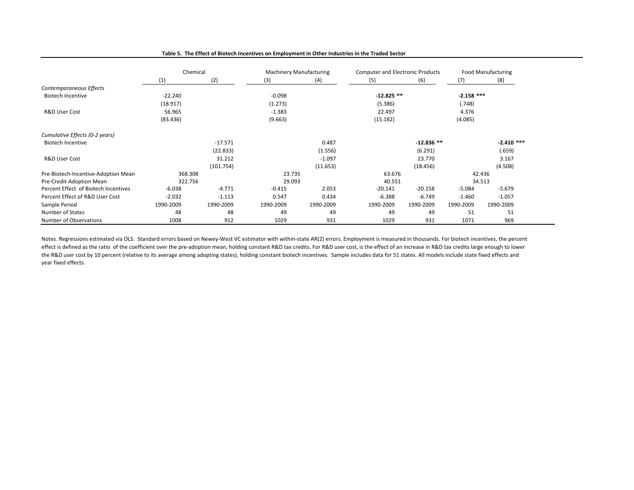|                                      | Chemical  |           |           | <b>Machinery Manufacturing</b> | <b>Computer and Electronic Products</b> |              | <b>Food Manufacturing</b> |              |
|--------------------------------------|-----------|-----------|-----------|--------------------------------|-----------------------------------------|--------------|---------------------------|--------------|
|                                      | (1)       | (2)       | (3)       | (4)                            | (5)                                     | (6)          | (7)                       | (8)          |
| Contemporaneous Effects              |           |           |           |                                |                                         |              |                           |              |
| <b>Biotech Incentive</b>             | $-22.240$ |           | $-0.098$  |                                | $-12.825$ **                            |              | $-2.158$ ***              |              |
|                                      | (18.917)  |           | (1.273)   |                                | (5.386)                                 |              | (.748)                    |              |
| <b>R&amp;D User Cost</b>             | 56.965    |           | $-1.383$  |                                | 22.497                                  |              | 4.376                     |              |
|                                      | (83.436)  |           | (9.663)   |                                | (15.182)                                |              | (4.085)                   |              |
| Cumulative Effects (0-2 years)       |           |           |           |                                |                                         |              |                           |              |
| <b>Biotech Incentive</b>             |           | $-17.571$ |           | 0.487                          |                                         | $-12.836$ ** |                           | $-2.410$ *** |
|                                      |           | (22.833)  |           | (1.556)                        |                                         | (6.291)      |                           | (.659)       |
| R&D User Cost                        |           | 31.212    |           | $-1.097$                       |                                         | 23.770       |                           | 3.167        |
|                                      |           | (101.754) |           | (11.653)                       |                                         | (18.456)     |                           | (4.508)      |
| Pre-Biotech-Incentive-Adoption Mean  | 368.308   |           | 23.735    |                                | 63.676                                  |              |                           | 42.436       |
| Pre-Credit-Adoption Mean             | 322.756   |           | 29.093    |                                | 40.551                                  |              |                           | 34.513       |
| Percent Effect of Biotech Incentives | $-6.038$  | $-4.771$  | $-0.415$  | 2.053                          | $-20.141$                               | $-20.158$    | $-5.084$                  | $-5.679$     |
| Percent Effect of R&D User Cost      | $-2.032$  | $-1.113$  | 0.547     | 0.434                          | $-6.388$                                | $-6.749$     | $-1.460$                  | $-1.057$     |
| Sample Period                        | 1990-2009 | 1990-2009 | 1990-2009 | 1990-2009                      | 1990-2009                               | 1990-2009    | 1990-2009                 | 1990-2009    |
| Number of States                     | 48        | 48        | 49        | 49                             | 49                                      | 49           | 51                        | 51           |
| Number of Observations               | 1008      | 912       | 1029      | 931                            | 1029                                    | 931          | 1071                      | 969          |

Notes. Regressions estimated via OLS. Standard errors based on Newey‐West VC estimator with within‐state AR(2) errors. Employment is measured in thousands. For biotech incentives, the percent effect is defined as the ratio of the coefficient over the pre‐adoption mean, holding constant R&D tax credits. For R&D user cost, is the effect of an increase in R&D tax credits large enough to lower the R&D user cost by 10 percent (relative to its average among adopting states), holding constant biotech incentives. Sample includes data for 51 states. All models include state fixed effects and year fixed effects.

#### **Table 5. The Effect of Biotech Incentives on Employment in Other Industries in the Traded Sector**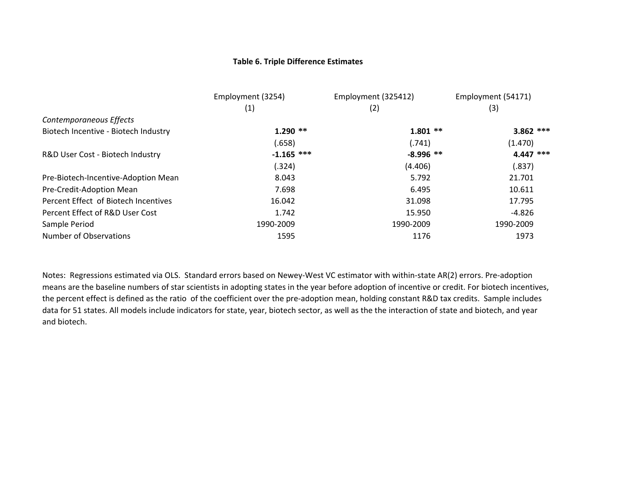#### **Table 6. Triple Difference Estimates**

|                                      | Employment (3254) | Employment (325412) | Employment (54171) |  |
|--------------------------------------|-------------------|---------------------|--------------------|--|
|                                      | (1)               | (2)                 | (3)                |  |
| Contemporaneous Effects              |                   |                     |                    |  |
| Biotech Incentive - Biotech Industry | $1.290**$         | $1.801$ **          | 3.862 ***          |  |
|                                      | (.658)            | (.741)              | (1.470)            |  |
| R&D User Cost - Biotech Industry     | $-1.165$ ***      | $-8.996$ **         | 4.447 ***          |  |
|                                      | (.324)            | (4.406)             | (.837)             |  |
| Pre-Biotech-Incentive-Adoption Mean  | 8.043             | 5.792               | 21.701             |  |
| Pre-Credit-Adoption Mean             | 7.698             | 6.495               | 10.611             |  |
| Percent Effect of Biotech Incentives | 16.042            | 31.098              | 17.795             |  |
| Percent Effect of R&D User Cost      | 1.742             | 15.950              | -4.826             |  |
| Sample Period                        | 1990-2009         | 1990-2009           | 1990-2009          |  |
| Number of Observations               | 1595              | 1176                | 1973               |  |

Notes: Regressions estimated via OLS. Standard errors based on Newey‐West VC estimator with within‐state AR(2) errors. Pre‐adoption means are the baseline numbers of star scientists in adopting states in the year before adoption of incentive or credit. For biotech incentives, the percent effect is defined as the ratio of the coefficient over the pre‐adoption mean, holding constant R&D tax credits. Sample includes data for 51 states. All models include indicators for state, year, biotech sector, as well as the the interaction of state and biotech, and year and biotech.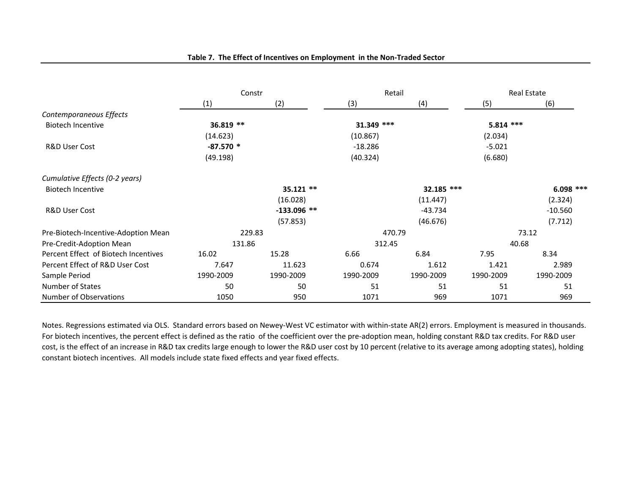|                                      | Constr     |               | Retail     |            | Real Estate |           |  |
|--------------------------------------|------------|---------------|------------|------------|-------------|-----------|--|
|                                      | (1)        | (2)           | (3)        | (4)        | (5)         | (6)       |  |
| Contemporaneous Effects              |            |               |            |            |             |           |  |
| <b>Biotech Incentive</b>             | 36.819 **  |               | 31.349 *** |            | 5.814 ***   |           |  |
|                                      | (14.623)   |               | (10.867)   |            | (2.034)     |           |  |
| R&D User Cost                        | $-87.570*$ |               | $-18.286$  |            | $-5.021$    |           |  |
|                                      | (49.198)   |               | (40.324)   |            | (6.680)     |           |  |
| Cumulative Effects (0-2 years)       |            |               |            |            |             |           |  |
| <b>Biotech Incentive</b>             |            | 35.121 **     |            | 32.185 *** |             | 6.098 *** |  |
|                                      |            | (16.028)      |            | (11.447)   |             | (2.324)   |  |
| R&D User Cost                        |            | $-133.096$ ** |            | $-43.734$  |             | $-10.560$ |  |
|                                      |            | (57.853)      |            | (46.676)   |             | (7.712)   |  |
| Pre-Biotech-Incentive-Adoption Mean  | 229.83     |               | 470.79     |            |             | 73.12     |  |
| Pre-Credit-Adoption Mean             | 131.86     |               | 312.45     |            | 40.68       |           |  |
| Percent Effect of Biotech Incentives | 16.02      | 15.28         | 6.66       | 6.84       | 7.95        | 8.34      |  |
| Percent Effect of R&D User Cost      | 7.647      | 11.623        | 0.674      | 1.612      | 1.421       | 2.989     |  |
| Sample Period                        | 1990-2009  | 1990-2009     | 1990-2009  | 1990-2009  | 1990-2009   | 1990-2009 |  |
| Number of States                     | 50         | 50            | 51         | 51         | 51          | 51        |  |
| Number of Observations               | 1050       | 950           | 1071       | 969        | 1071        | 969       |  |

**Table 7. The Effect of Incentives on Employment in the Non‐Traded Sector**

Notes. Regressions estimated via OLS. Standard errors based on Newey‐West VC estimator with within‐state AR(2) errors. Employment is measured in thousands. For biotech incentives, the percent effect is defined as the ratio of the coefficient over the pre‐adoption mean, holding constant R&D tax credits. For R&D user cost, is the effect of an increase in R&D tax credits large enough to lower the R&D user cost by 10 percent (relative to its average among adopting states), holding constant biotech incentives. All models include state fixed effects and year fixed effects.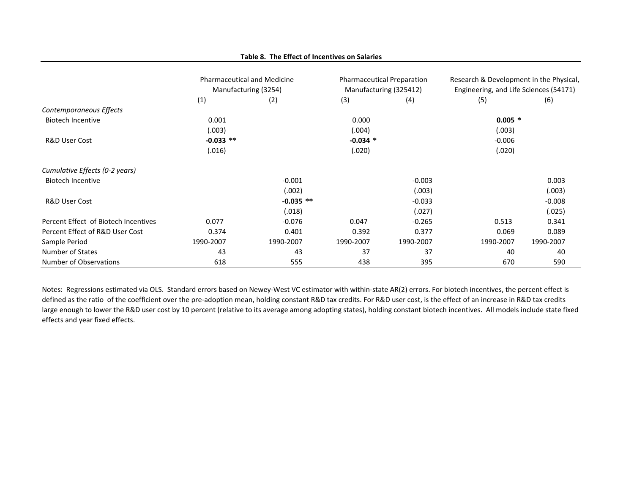|                                      | <b>Pharmaceutical and Medicine</b> |             | <b>Pharmaceutical Preparation</b> |           | Research & Development in the Physical, |           |  |
|--------------------------------------|------------------------------------|-------------|-----------------------------------|-----------|-----------------------------------------|-----------|--|
|                                      | Manufacturing (3254)               |             | Manufacturing (325412)            |           | Engineering, and Life Sciences (54171)  |           |  |
|                                      | (1)                                | (2)         | (3)                               | (4)       | (5)                                     | (6)       |  |
| Contemporaneous Effects              |                                    |             |                                   |           |                                         |           |  |
| <b>Biotech Incentive</b>             | 0.001                              |             | 0.000                             |           | $0.005 *$                               |           |  |
|                                      | (.003)                             |             | (.004)                            |           | (.003)                                  |           |  |
| R&D User Cost                        | $-0.033$ **                        |             | $-0.034*$                         |           | $-0.006$                                |           |  |
|                                      | (.016)                             |             | (.020)                            |           | (.020)                                  |           |  |
| Cumulative Effects (0-2 years)       |                                    |             |                                   |           |                                         |           |  |
| <b>Biotech Incentive</b>             |                                    | $-0.001$    |                                   | $-0.003$  |                                         | 0.003     |  |
|                                      |                                    | (.002)      |                                   | (.003)    |                                         | (.003)    |  |
| R&D User Cost                        |                                    | $-0.035$ ** |                                   | $-0.033$  |                                         | $-0.008$  |  |
|                                      |                                    | (.018)      |                                   | (.027)    |                                         | (.025)    |  |
| Percent Effect of Biotech Incentives | 0.077                              | $-0.076$    | 0.047                             | $-0.265$  | 0.513                                   | 0.341     |  |
| Percent Effect of R&D User Cost      | 0.374                              | 0.401       | 0.392                             | 0.377     | 0.069                                   | 0.089     |  |
| Sample Period                        | 1990-2007                          | 1990-2007   | 1990-2007                         | 1990-2007 | 1990-2007                               | 1990-2007 |  |
| Number of States                     | 43                                 | 43          | 37                                | 37        | 40                                      | 40        |  |
| Number of Observations               | 618                                | 555         | 438                               | 395       | 670                                     | 590       |  |

**Table 8. The Effect of Incentives on Salaries**

Notes: Regressions estimated via OLS. Standard errors based on Newey‐West VC estimator with within‐state AR(2) errors. For biotech incentives, the percent effect is defined as the ratio of the coefficient over the pre‐adoption mean, holding constant R&D tax credits. For R&D user cost, is the effect of an increase in R&D tax credits large enough to lower the R&D user cost by 10 percent (relative to its average among adopting states), holding constant biotech incentives. All models include state fixed effects and year fixed effects.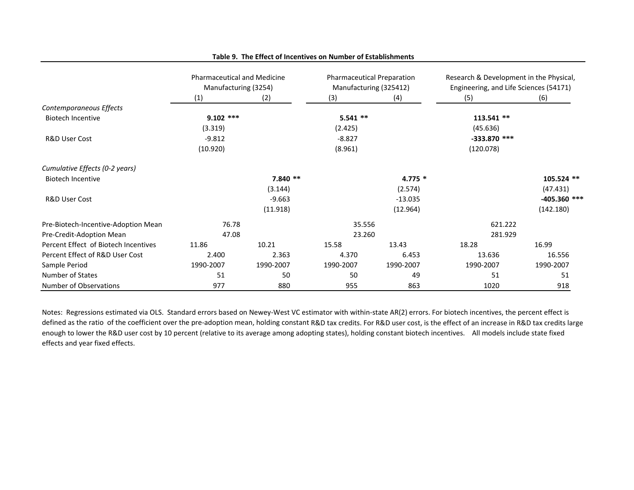|                                      | <b>Pharmaceutical and Medicine</b><br>Manufacturing (3254) |           |           | <b>Pharmaceutical Preparation</b><br>Manufacturing (325412) | Research & Development in the Physical,<br>Engineering, and Life Sciences (54171) |                |
|--------------------------------------|------------------------------------------------------------|-----------|-----------|-------------------------------------------------------------|-----------------------------------------------------------------------------------|----------------|
|                                      | (1)                                                        | (2)       | (3)       | (4)                                                         | (5)                                                                               | (6)            |
| Contemporaneous Effects              |                                                            |           |           |                                                             |                                                                                   |                |
| <b>Biotech Incentive</b>             | $9.102$ ***                                                |           | $5.541**$ |                                                             | 113.541 **                                                                        |                |
|                                      | (3.319)                                                    |           | (2.425)   |                                                             | (45.636)                                                                          |                |
| <b>R&amp;D User Cost</b>             | $-9.812$                                                   |           | $-8.827$  |                                                             | -333.870 ***                                                                      |                |
|                                      | (10.920)                                                   |           | (8.961)   |                                                             | (120.078)                                                                         |                |
| Cumulative Effects (0-2 years)       |                                                            |           |           |                                                             |                                                                                   |                |
| <b>Biotech Incentive</b>             |                                                            | 7.840 **  |           | 4.775 $*$                                                   |                                                                                   | 105.524 **     |
|                                      |                                                            | (3.144)   |           | (2.574)                                                     |                                                                                   | (47.431)       |
| <b>R&amp;D User Cost</b>             |                                                            | $-9.663$  |           | $-13.035$                                                   |                                                                                   | $-405.360$ *** |
|                                      |                                                            | (11.918)  |           | (12.964)                                                    |                                                                                   | (142.180)      |
| Pre-Biotech-Incentive-Adoption Mean  | 76.78                                                      |           | 35.556    |                                                             | 621.222                                                                           |                |
| Pre-Credit-Adoption Mean             | 47.08                                                      |           | 23.260    |                                                             | 281.929                                                                           |                |
| Percent Effect of Biotech Incentives | 11.86                                                      | 10.21     | 15.58     | 13.43                                                       | 18.28                                                                             | 16.99          |
| Percent Effect of R&D User Cost      | 2.400                                                      | 2.363     | 4.370     | 6.453                                                       | 13.636                                                                            | 16.556         |
| Sample Period                        | 1990-2007                                                  | 1990-2007 | 1990-2007 | 1990-2007                                                   | 1990-2007                                                                         | 1990-2007      |
| Number of States                     | 51                                                         | 50        | 50        | 49                                                          | 51                                                                                | 51             |
| Number of Observations               | 977                                                        | 880       | 955       | 863                                                         | 1020                                                                              | 918            |

**Table 9. The Effect of Incentives on Number of Establishments**

Notes: Regressions estimated via OLS. Standard errors based on Newey‐West VC estimator with within‐state AR(2) errors. For biotech incentives, the percent effect is defined as the ratio of the coefficient over the pre‐adoption mean, holding constant R&D tax credits. For R&D user cost, is the effect of an increase in R&D tax credits large enough to lower the R&D user cost by 10 percent (relative to its average among adopting states), holding constant biotech incentives. All models include state fixed effects and year fixed effects.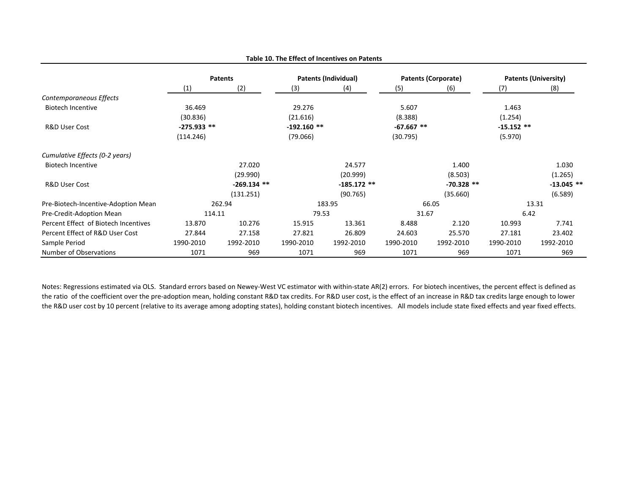|                                      | <b>Patents</b> |               |               | Patents (Individual) |              | <b>Patents (Corporate)</b> |              | <b>Patents (University)</b> |
|--------------------------------------|----------------|---------------|---------------|----------------------|--------------|----------------------------|--------------|-----------------------------|
|                                      | (1)            | (2)           | (3)           | (4)                  | (5)          | (6)                        | (7)          | (8)                         |
| Contemporaneous Effects              |                |               |               |                      |              |                            |              |                             |
| <b>Biotech Incentive</b>             | 36.469         |               | 29.276        |                      | 5.607        |                            | 1.463        |                             |
|                                      | (30.836)       |               | (21.616)      |                      | (8.388)      |                            | (1.254)      |                             |
| <b>R&amp;D User Cost</b>             | $-275.933$ **  |               | $-192.160$ ** |                      | $-67.667$ ** |                            | $-15.152$ ** |                             |
|                                      | (114.246)      |               | (79.066)      |                      | (30.795)     |                            | (5.970)      |                             |
| Cumulative Effects (0-2 years)       |                |               |               |                      |              |                            |              |                             |
| <b>Biotech Incentive</b>             |                | 27.020        |               | 24.577               |              | 1.400                      |              | 1.030                       |
|                                      |                | (29.990)      |               | (20.999)             |              | (8.503)                    |              | (1.265)                     |
| <b>R&amp;D User Cost</b>             |                | $-269.134$ ** |               | $-185.172$ **        |              | $-70.328$ **               |              | $-13.045$ **                |
|                                      |                | (131.251)     |               | (90.765)             |              | (35.660)                   |              | (6.589)                     |
| Pre-Biotech-Incentive-Adoption Mean  |                | 262.94        |               | 183.95<br>66.05      |              |                            |              | 13.31                       |
| Pre-Credit-Adoption Mean             | 114.11         |               | 79.53         | 31.67                |              |                            | 6.42         |                             |
| Percent Effect of Biotech Incentives | 13.870         | 10.276        | 15.915        | 13.361               | 8.488        | 2.120                      | 10.993       | 7.741                       |
| Percent Effect of R&D User Cost      | 27.844         | 27.158        | 27.821        | 26.809               | 24.603       | 25.570                     | 27.181       | 23.402                      |
| Sample Period                        | 1990-2010      | 1992-2010     | 1990-2010     | 1992-2010            | 1990-2010    | 1992-2010                  | 1990-2010    | 1992-2010                   |
| Number of Observations               | 1071           | 969           | 1071          | 969                  | 1071         | 969                        | 1071         | 969                         |

Notes: Regressions estimated via OLS. Standard errors based on Newey‐West VC estimator with within‐state AR(2) errors. For biotech incentives, the percent effect is defined as the ratio of the coefficient over the pre‐adoption mean, holding constant R&D tax credits. For R&D user cost, is the effect of an increase in R&D tax credits large enough to lower the R&D user cost by 10 percent (relative to its average among adopting states), holding constant biotech incentives. All models include state fixed effects and year fixed effects.

#### **Table 10. The Effect of Incentives on Patents**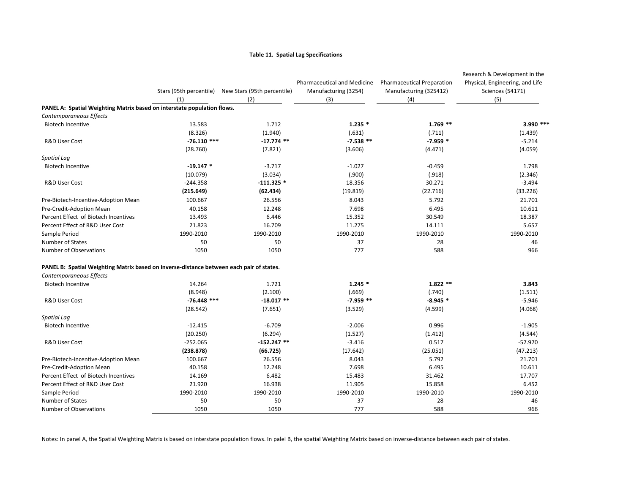**Table 11. Spatial Lag Specifications**

|                                                                                          | Stars (95th percentile) | New Stars (95th percentile) | Pharmaceutical and Medicine<br>Manufacturing (3254) | <b>Pharmaceutical Preparation</b><br>Manufacturing (325412) | Research & Development in the<br>Physical, Engineering, and Life<br><b>Sciences (54171)</b> |
|------------------------------------------------------------------------------------------|-------------------------|-----------------------------|-----------------------------------------------------|-------------------------------------------------------------|---------------------------------------------------------------------------------------------|
|                                                                                          | (1)                     | (2)                         | (3)                                                 | (4)                                                         | (5)                                                                                         |
| PANEL A: Spatial Weighting Matrix based on interstate population flows.                  |                         |                             |                                                     |                                                             |                                                                                             |
| Contemporaneous Effects                                                                  |                         |                             |                                                     |                                                             |                                                                                             |
| <b>Biotech Incentive</b>                                                                 | 13.583                  | 1.712                       | $1.235 *$                                           | $1.769$ **                                                  | 3.990 ***                                                                                   |
|                                                                                          | (8.326)                 | (1.940)                     | (.631)                                              | (.711)                                                      | (1.439)                                                                                     |
| <b>R&amp;D User Cost</b>                                                                 | $-76.110$ ***           | $-17.774$ **                | $-7.538**$                                          | $-7.959*$                                                   | $-5.214$                                                                                    |
|                                                                                          | (28.760)                | (7.821)                     | (3.606)                                             | (4.471)                                                     | (4.059)                                                                                     |
| <b>Spatial Lag</b>                                                                       |                         |                             |                                                     |                                                             |                                                                                             |
| <b>Biotech Incentive</b>                                                                 | $-19.147*$              | $-3.717$                    | $-1.027$                                            | $-0.459$                                                    | 1.798                                                                                       |
|                                                                                          | (10.079)                | (3.034)                     | (.900)                                              | (.918)                                                      | (2.346)                                                                                     |
| R&D User Cost                                                                            | $-244.358$              | $-111.325$ *                | 18.356                                              | 30.271                                                      | $-3.494$                                                                                    |
|                                                                                          | (215.649)               | (62.434)                    | (19.819)                                            | (22.716)                                                    | (33.226)                                                                                    |
| Pre-Biotech-Incentive-Adoption Mean                                                      | 100.667                 | 26.556                      | 8.043                                               | 5.792                                                       | 21.701                                                                                      |
| Pre-Credit-Adoption Mean                                                                 | 40.158                  | 12.248                      | 7.698                                               | 6.495                                                       | 10.611                                                                                      |
| Percent Effect of Biotech Incentives                                                     | 13.493                  | 6.446                       | 15.352                                              | 30.549                                                      | 18.387                                                                                      |
| Percent Effect of R&D User Cost                                                          | 21.823                  | 16.709                      | 11.275                                              | 14.111                                                      | 5.657                                                                                       |
| Sample Period                                                                            | 1990-2010               | 1990-2010                   | 1990-2010                                           | 1990-2010                                                   | 1990-2010                                                                                   |
| Number of States                                                                         | 50                      | 50                          | 37                                                  | 28                                                          | 46                                                                                          |
| <b>Number of Observations</b>                                                            | 1050                    | 1050                        | 777                                                 | 588                                                         | 966                                                                                         |
| PANEL B: Spatial Weighting Matrix based on inverse-distance between each pair of states. |                         |                             |                                                     |                                                             |                                                                                             |
| Contemporaneous Effects                                                                  |                         |                             |                                                     |                                                             |                                                                                             |
| <b>Biotech Incentive</b>                                                                 | 14.264                  | 1.721                       | $1.245*$                                            | $1.822**$                                                   | 3.843                                                                                       |
|                                                                                          | (8.948)                 | (2.100)                     | (.669)                                              | (.740)                                                      | (1.511)                                                                                     |
| <b>R&amp;D User Cost</b>                                                                 | $-76.448$ ***           | $-18.017**$                 | $-7.959**$                                          | $-8.945*$                                                   | $-5.946$                                                                                    |
|                                                                                          | (28.542)                | (7.651)                     | (3.529)                                             | (4.599)                                                     | (4.068)                                                                                     |
| <b>Spatial Lag</b>                                                                       |                         |                             |                                                     |                                                             |                                                                                             |
| <b>Biotech Incentive</b>                                                                 | $-12.415$               | $-6.709$                    | $-2.006$                                            | 0.996                                                       | $-1.905$                                                                                    |
|                                                                                          | (20.250)                | (6.294)                     | (1.527)                                             | (1.412)                                                     | (4.544)                                                                                     |
| R&D User Cost                                                                            | $-252.065$              | $-152.247$ **               | $-3.416$                                            | 0.517                                                       | $-57.970$                                                                                   |
|                                                                                          | (238.878)               | (66.725)                    | (17.642)                                            | (25.051)                                                    | (47.213)                                                                                    |
| Pre-Biotech-Incentive-Adoption Mean                                                      | 100.667                 | 26.556                      | 8.043                                               | 5.792                                                       | 21.701                                                                                      |
| Pre-Credit-Adoption Mean                                                                 | 40.158                  | 12.248                      | 7.698                                               | 6.495                                                       | 10.611                                                                                      |
| Percent Effect of Biotech Incentives                                                     | 14.169                  | 6.482                       | 15.483                                              | 31.462                                                      | 17.707                                                                                      |
| Percent Effect of R&D User Cost                                                          | 21.920                  | 16.938                      | 11.905                                              | 15.858                                                      | 6.452                                                                                       |
| Sample Period                                                                            | 1990-2010               | 1990-2010                   | 1990-2010                                           | 1990-2010                                                   | 1990-2010                                                                                   |
| Number of States                                                                         | 50                      | 50                          | 37                                                  | 28                                                          | 46                                                                                          |
| Number of Observations                                                                   | 1050                    | 1050                        | 777                                                 | 588                                                         | 966                                                                                         |

Notes: In panel A, the Spatial Weighting Matrix is based on interstate population flows. In palel B, the spatial Weighting Matrix based on inverse‐distance between each pair of states.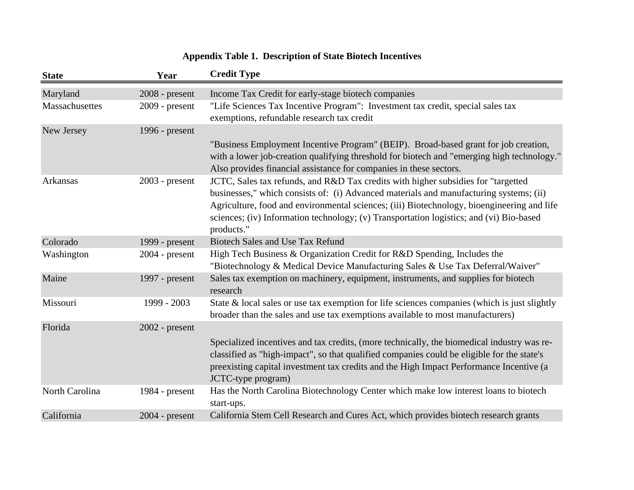| <b>State</b>   | Year             | <b>Credit Type</b>                                                                                                                                                                                                                                                                                                                                                   |
|----------------|------------------|----------------------------------------------------------------------------------------------------------------------------------------------------------------------------------------------------------------------------------------------------------------------------------------------------------------------------------------------------------------------|
| Maryland       | $2008$ - present | Income Tax Credit for early-stage biotech companies                                                                                                                                                                                                                                                                                                                  |
| Massachusettes | $2009$ - present | "Life Sciences Tax Incentive Program": Investment tax credit, special sales tax<br>exemptions, refundable research tax credit                                                                                                                                                                                                                                        |
| New Jersey     | 1996 - present   |                                                                                                                                                                                                                                                                                                                                                                      |
|                |                  | "Business Employment Incentive Program" (BEIP). Broad-based grant for job creation,<br>with a lower job-creation qualifying threshold for biotech and "emerging high technology."<br>Also provides financial assistance for companies in these sectors.                                                                                                              |
| Arkansas       | $2003$ - present | JCTC, Sales tax refunds, and R&D Tax credits with higher subsidies for "targetted<br>businesses," which consists of: (i) Advanced materials and manufacturing systems; (ii)<br>Agriculture, food and environmental sciences; (iii) Biotechnology, bioengineering and life<br>sciences; (iv) Information technology; (v) Transportation logistics; and (vi) Bio-based |
|                |                  | products."                                                                                                                                                                                                                                                                                                                                                           |
| Colorado       | 1999 - present   | <b>Biotech Sales and Use Tax Refund</b>                                                                                                                                                                                                                                                                                                                              |
| Washington     | $2004$ - present | High Tech Business & Organization Credit for R&D Spending, Includes the<br>"Biotechnology & Medical Device Manufacturing Sales & Use Tax Deferral/Waiver"                                                                                                                                                                                                            |
| Maine          | 1997 - present   | Sales tax exemption on machinery, equipment, instruments, and supplies for biotech<br>research                                                                                                                                                                                                                                                                       |
| Missouri       | 1999 - 2003      | State & local sales or use tax exemption for life sciences companies (which is just slightly<br>broader than the sales and use tax exemptions available to most manufacturers)                                                                                                                                                                                       |
| Florida        | $2002$ - present |                                                                                                                                                                                                                                                                                                                                                                      |
|                |                  | Specialized incentives and tax credits, (more technically, the biomedical industry was re-<br>classified as "high-impact", so that qualified companies could be eligible for the state's<br>preexisting capital investment tax credits and the High Impact Performance Incentive (a<br>JCTC-type program)                                                            |
| North Carolina | 1984 - present   | Has the North Carolina Biotechnology Center which make low interest loans to biotech<br>start-ups.                                                                                                                                                                                                                                                                   |
| California     | $2004$ - present | California Stem Cell Research and Cures Act, which provides biotech research grants                                                                                                                                                                                                                                                                                  |

# **Appendix Table 1. Description of State Biotech Incentives**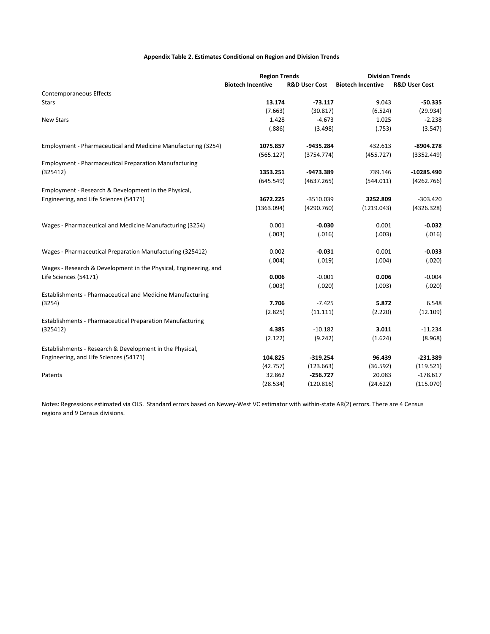#### **Appendix Table 2. Estimates Conditional on Region and Division Trends**

|                                                                   | <b>Region Trends</b>     |                          | <b>Division Trends</b>   |                          |  |
|-------------------------------------------------------------------|--------------------------|--------------------------|--------------------------|--------------------------|--|
|                                                                   | <b>Biotech Incentive</b> | <b>R&amp;D User Cost</b> | <b>Biotech Incentive</b> | <b>R&amp;D User Cost</b> |  |
| Contemporaneous Effects                                           |                          |                          |                          |                          |  |
| <b>Stars</b>                                                      | 13.174                   | $-73.117$                | 9.043                    | $-50.335$                |  |
|                                                                   | (7.663)                  | (30.817)                 | (6.524)                  | (29.934)                 |  |
| <b>New Stars</b>                                                  | 1.428                    | $-4.673$                 | 1.025                    | $-2.238$                 |  |
|                                                                   | (.886)                   | (3.498)                  | (.753)                   | (3.547)                  |  |
| Employment - Pharmaceutical and Medicine Manufacturing (3254)     | 1075.857                 | $-9435.284$              | 432.613                  | $-8904.278$              |  |
|                                                                   | (565.127)                | (3754.774)               | (455.727)                | (3352.449)               |  |
| <b>Employment - Pharmaceutical Preparation Manufacturing</b>      |                          |                          |                          |                          |  |
| (325412)                                                          | 1353.251                 | -9473.389                | 739.146                  | $-10285.490$             |  |
|                                                                   | (645.549)                | (4637.265)               | (544.011)                | (4262.766)               |  |
| Employment - Research & Development in the Physical,              |                          |                          |                          |                          |  |
| Engineering, and Life Sciences (54171)                            | 3672.225                 | $-3510.039$              | 3252.809                 | $-303.420$               |  |
|                                                                   | (1363.094)               | (4290.760)               | (1219.043)               | (4326.328)               |  |
| Wages - Pharmaceutical and Medicine Manufacturing (3254)          | 0.001                    | $-0.030$                 | 0.001                    | $-0.032$                 |  |
|                                                                   | (.003)                   | (.016)                   | (.003)                   | (.016)                   |  |
| Wages - Pharmaceutical Preparation Manufacturing (325412)         | 0.002                    | $-0.031$                 | 0.001                    | $-0.033$                 |  |
|                                                                   | (.004)                   | (.019)                   | (.004)                   | (.020)                   |  |
| Wages - Research & Development in the Physical, Engineering, and  |                          |                          |                          |                          |  |
| Life Sciences (54171)                                             | 0.006                    | $-0.001$                 | 0.006                    | $-0.004$                 |  |
|                                                                   | (.003)                   | (.020)                   | (.003)                   | (.020)                   |  |
| <b>Establishments - Pharmaceutical and Medicine Manufacturing</b> |                          |                          |                          |                          |  |
| (3254)                                                            | 7.706                    | $-7.425$                 | 5.872                    | 6.548                    |  |
|                                                                   | (2.825)                  | (11.111)                 | (2.220)                  | (12.109)                 |  |
| <b>Establishments - Pharmaceutical Preparation Manufacturing</b>  |                          |                          |                          |                          |  |
| (325412)                                                          | 4.385                    | $-10.182$                | 3.011                    | $-11.234$                |  |
|                                                                   | (2.122)                  | (9.242)                  | (1.624)                  | (8.968)                  |  |
| Establishments - Research & Development in the Physical,          |                          |                          |                          |                          |  |
| Engineering, and Life Sciences (54171)                            | 104.825                  | $-319.254$               | 96.439                   | $-231.389$               |  |
|                                                                   | (42.757)                 | (123.663)                | (36.592)                 | (119.521)                |  |
| Patents                                                           | 32.862                   | $-256.727$               | 20.083                   | $-178.617$               |  |
|                                                                   | (28.534)                 | (120.816)                | (24.622)                 | (115.070)                |  |

Notes: Regressions estimated via OLS. Standard errors based on Newey‐West VC estimator with within‐state AR(2) errors. There are 4 Census regions and 9 Census divisions.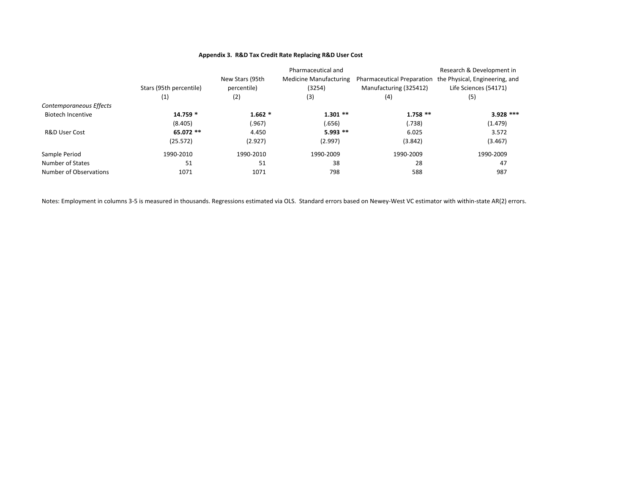#### **Appendix 3. R&D Tax Credit Rate Replacing R&D User Cost**

|                          | Stars (95th percentile) | New Stars (95th<br>percentile) | Pharmaceutical and<br><b>Medicine Manufacturing</b><br>(3254) | <b>Pharmaceutical Preparation</b><br>Manufacturing (325412) | Research & Development in<br>the Physical, Engineering, and<br>Life Sciences (54171) |
|--------------------------|-------------------------|--------------------------------|---------------------------------------------------------------|-------------------------------------------------------------|--------------------------------------------------------------------------------------|
|                          | (1)                     | (2)                            | (3)                                                           | (4)                                                         | (5)                                                                                  |
| Contemporaneous Effects  |                         |                                |                                                               |                                                             |                                                                                      |
| <b>Biotech Incentive</b> | 14.759 *                | $1.662*$                       | $1.301**$                                                     | $1.758**$                                                   | $3.928$ ***                                                                          |
|                          | (8.405)                 | .967)                          | (.656)                                                        | (.738.                                                      | (1.479)                                                                              |
| <b>R&amp;D User Cost</b> | 65.072 **               | 4.450                          | $5.993$ **                                                    | 6.025                                                       | 3.572                                                                                |
|                          | (25.572)                | (2.927)                        | (2.997)                                                       | (3.842)                                                     | (3.467)                                                                              |
| Sample Period            | 1990-2010               | 1990-2010                      | 1990-2009                                                     | 1990-2009                                                   | 1990-2009                                                                            |
| Number of States         | 51                      | 51                             | 38                                                            | 28                                                          | 47                                                                                   |
| Number of Observations   | 1071                    | 1071                           | 798                                                           | 588                                                         | 987                                                                                  |

Notes: Employment in columns 3‐5 is measured in thousands. Regressions estimated via OLS. Standard errors based on Newey‐West VC estimator with within‐state AR(2) errors.